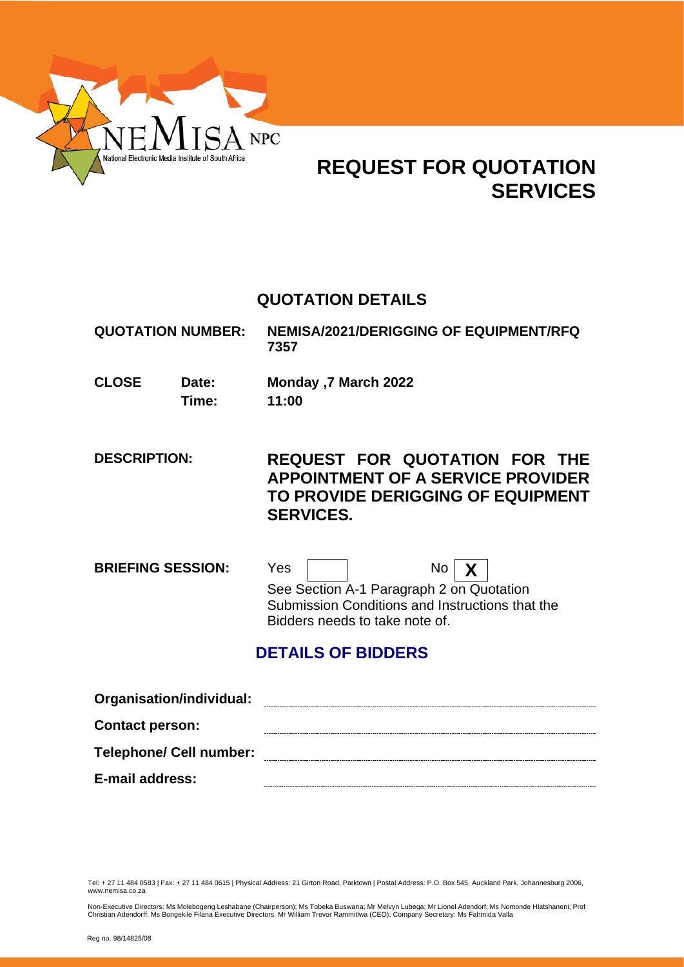

# **REQUEST FOR QUOTATION SERVICES**

# **QUOTATION DETAILS**

**QUOTATION NUMBER: NEMISA/2021/DERIGGING OF EQUIPMENT/RFQ 7357**

**CLOSE Date: Monday ,7 March 2022 Time: 11:00**

**DESCRIPTION: REQUEST FOR QUOTATION FOR THE APPOINTMENT OF A SERVICE PROVIDER TO PROVIDE DERIGGING OF EQUIPMENT SERVICES.**

**BRIEFING SESSION:** Yes  $\vert$   $\vert$  No  $\vert$  **X** See Section A-1 Paragraph 2 on Quotation Submission Conditions and Instructions that the Bidders needs to take note of.

# **DETAILS OF BIDDERS**

| Organisation/individual:       |  |
|--------------------------------|--|
| <b>Contact person:</b>         |  |
| <b>Telephone/ Cell number:</b> |  |
| <b>E-mail address:</b>         |  |

Tel: + 27 11 484 0583 | Fax: + 27 11 484 0615 | Physical Address: 21 Girton Road, Parktown | Postal Address: P.O. Box 545, Auckland Park, Johannesburg 2006, www.nemisa.co.za

Non-Executive Directors: Ms Molebogeng Leshabane (Chairperson); Ms Tobeka Buswana; Mr Melvyn Lubega; Mr Lionel Adendorf; Ms Nomonde Hlatshaneni; Prof<br>Christian Adendorff; Ms Bongekile Filana Executive Directors: Mr William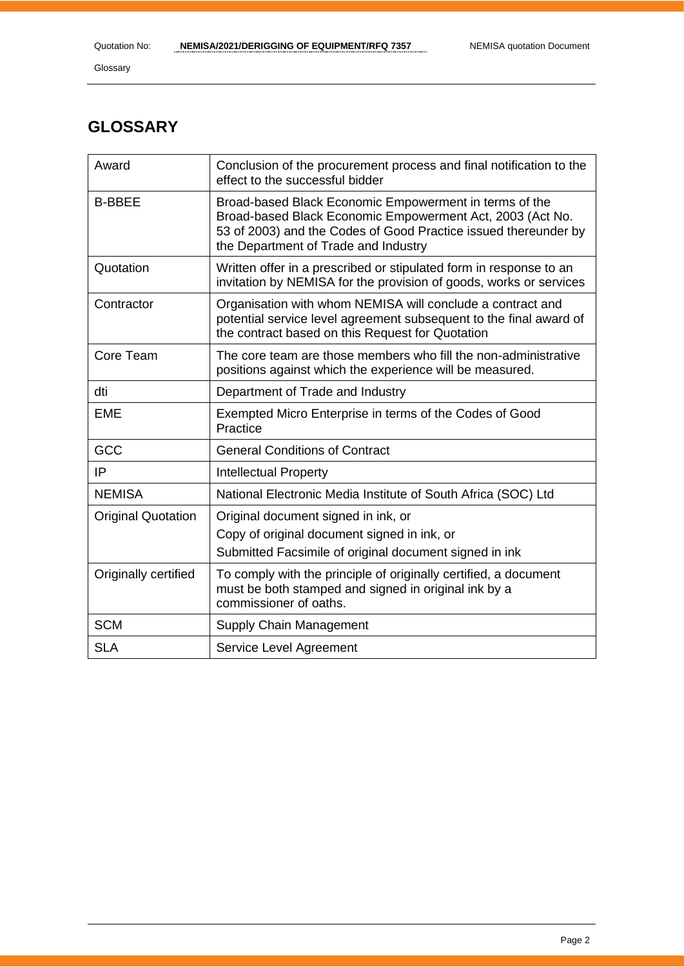# **GLOSSARY**

| Award                     | Conclusion of the procurement process and final notification to the<br>effect to the successful bidder                                                                                                                         |
|---------------------------|--------------------------------------------------------------------------------------------------------------------------------------------------------------------------------------------------------------------------------|
| <b>B-BBEE</b>             | Broad-based Black Economic Empowerment in terms of the<br>Broad-based Black Economic Empowerment Act, 2003 (Act No.<br>53 of 2003) and the Codes of Good Practice issued thereunder by<br>the Department of Trade and Industry |
| Quotation                 | Written offer in a prescribed or stipulated form in response to an<br>invitation by NEMISA for the provision of goods, works or services                                                                                       |
| Contractor                | Organisation with whom NEMISA will conclude a contract and<br>potential service level agreement subsequent to the final award of<br>the contract based on this Request for Quotation                                           |
| Core Team                 | The core team are those members who fill the non-administrative<br>positions against which the experience will be measured.                                                                                                    |
| dti                       | Department of Trade and Industry                                                                                                                                                                                               |
| <b>EME</b>                | Exempted Micro Enterprise in terms of the Codes of Good<br>Practice                                                                                                                                                            |
| GCC                       | <b>General Conditions of Contract</b>                                                                                                                                                                                          |
| IP                        | <b>Intellectual Property</b>                                                                                                                                                                                                   |
| <b>NEMISA</b>             | National Electronic Media Institute of South Africa (SOC) Ltd                                                                                                                                                                  |
| <b>Original Quotation</b> | Original document signed in ink, or<br>Copy of original document signed in ink, or<br>Submitted Facsimile of original document signed in ink                                                                                   |
| Originally certified      | To comply with the principle of originally certified, a document<br>must be both stamped and signed in original ink by a<br>commissioner of oaths.                                                                             |
| <b>SCM</b>                | Supply Chain Management                                                                                                                                                                                                        |
| <b>SLA</b>                | Service Level Agreement                                                                                                                                                                                                        |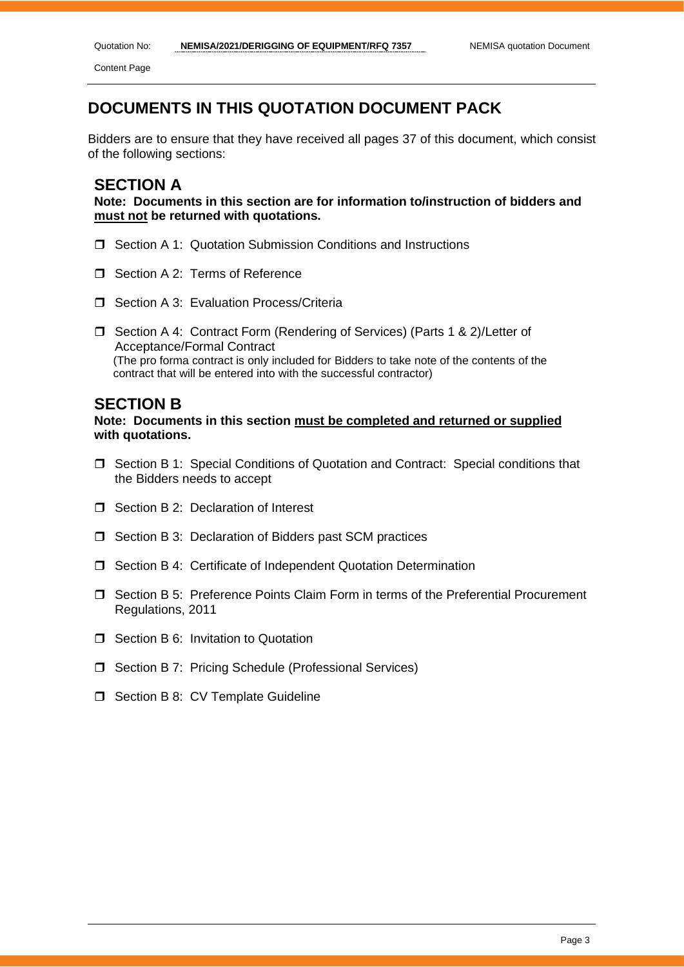Content Page

# **DOCUMENTS IN THIS QUOTATION DOCUMENT PACK**

Bidders are to ensure that they have received all pages 37 of this document, which consist of the following sections:

# **SECTION A**

**Note: Documents in this section are for information to/instruction of bidders and must not be returned with quotations.**

- **J** Section A 1: Quotation Submission Conditions and Instructions
- Section A 2: Terms of Reference
- □ Section A 3: Evaluation Process/Criteria
- □ Section A 4: Contract Form (Rendering of Services) (Parts 1 & 2)/Letter of Acceptance/Formal Contract (The pro forma contract is only included for Bidders to take note of the contents of the contract that will be entered into with the successful contractor)

# **SECTION B**

**Note: Documents in this section must be completed and returned or supplied with quotations.**

- Section B 1: Special Conditions of Quotation and Contract: Special conditions that the Bidders needs to accept
- □ Section B 2: Declaration of Interest
- □ Section B 3: Declaration of Bidders past SCM practices
- Section B 4: Certificate of Independent Quotation Determination
- Section B 5: Preference Points Claim Form in terms of the Preferential Procurement Regulations, 2011
- **T** Section B 6: Invitation to Quotation
- □ Section B 7: Pricing Schedule (Professional Services)
- $\Box$  Section B 8: CV Template Guideline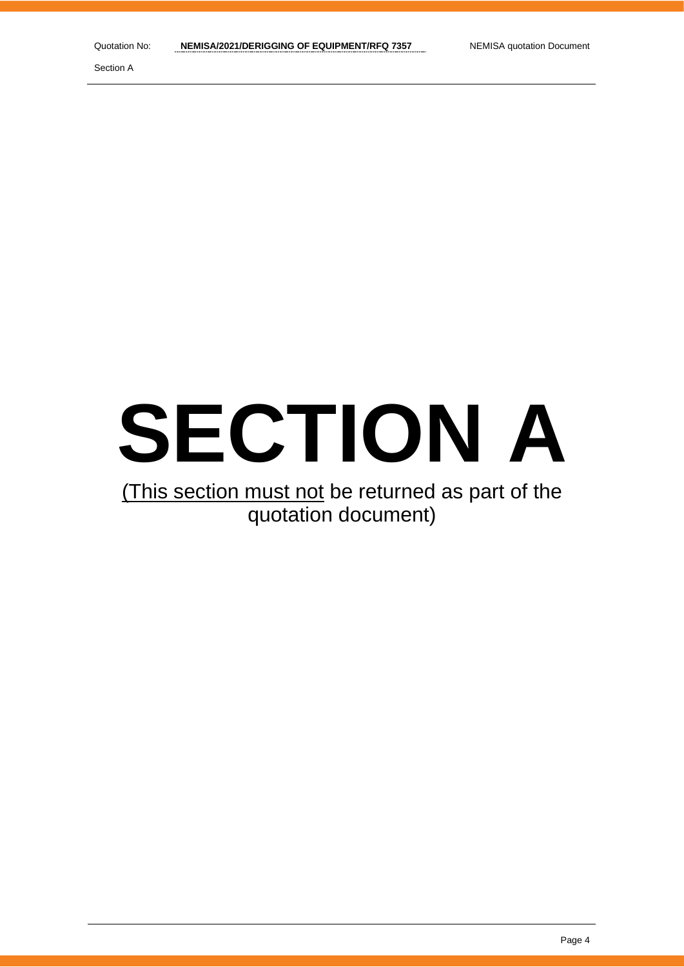# **SECTION A**

# (This section must not be returned as part of the quotation document)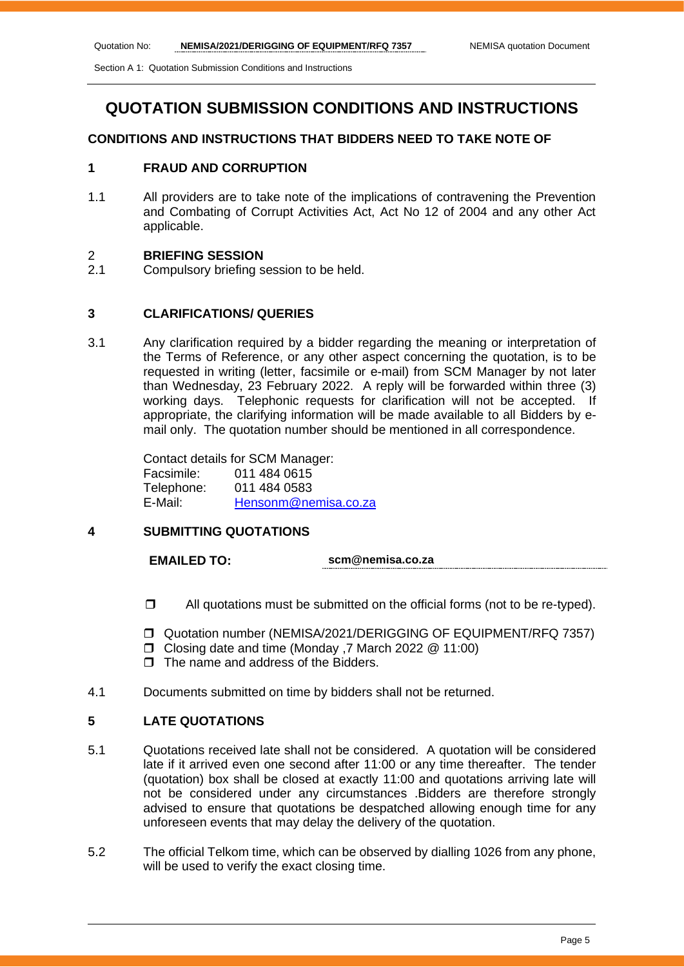Section A 1: Quotation Submission Conditions and Instructions

# **QUOTATION SUBMISSION CONDITIONS AND INSTRUCTIONS**

### **CONDITIONS AND INSTRUCTIONS THAT BIDDERS NEED TO TAKE NOTE OF**

# **1 FRAUD AND CORRUPTION**

1.1 All providers are to take note of the implications of contravening the Prevention and Combating of Corrupt Activities Act, Act No 12 of 2004 and any other Act applicable.

### 2 **BRIEFING SESSION**

2.1 Compulsory briefing session to be held.

### **3 CLARIFICATIONS/ QUERIES**

3.1 Any clarification required by a bidder regarding the meaning or interpretation of the Terms of Reference, or any other aspect concerning the quotation, is to be requested in writing (letter, facsimile or e-mail) from SCM Manager by not later than Wednesday, 23 February 2022. A reply will be forwarded within three (3) working days. Telephonic requests for clarification will not be accepted. If appropriate, the clarifying information will be made available to all Bidders by email only. The quotation number should be mentioned in all correspondence.

> Contact details for SCM Manager: Facsimile: 011 484 0615 Telephone: 011 484 0583 E-Mail: [Hensonm@nemisa.co.za](mailto:Hensonm@nemisa.co.za)

## **4 SUBMITTING QUOTATIONS**

**EMAILED TO: scm@nemisa.co.za**

- $\Box$  All quotations must be submitted on the official forms (not to be re-typed).
- Quotation number (NEMISA/2021/DERIGGING OF EQUIPMENT/RFQ 7357)
- Closing date and time (Monday 7 March 2022 @ 11:00)
- $\Box$  The name and address of the Bidders.
- 4.1 Documents submitted on time by bidders shall not be returned.

# **5 LATE QUOTATIONS**

- 5.1 Quotations received late shall not be considered. A quotation will be considered late if it arrived even one second after 11:00 or any time thereafter. The tender (quotation) box shall be closed at exactly 11:00 and quotations arriving late will not be considered under any circumstances .Bidders are therefore strongly advised to ensure that quotations be despatched allowing enough time for any unforeseen events that may delay the delivery of the quotation.
- 5.2 The official Telkom time, which can be observed by dialling 1026 from any phone, will be used to verify the exact closing time.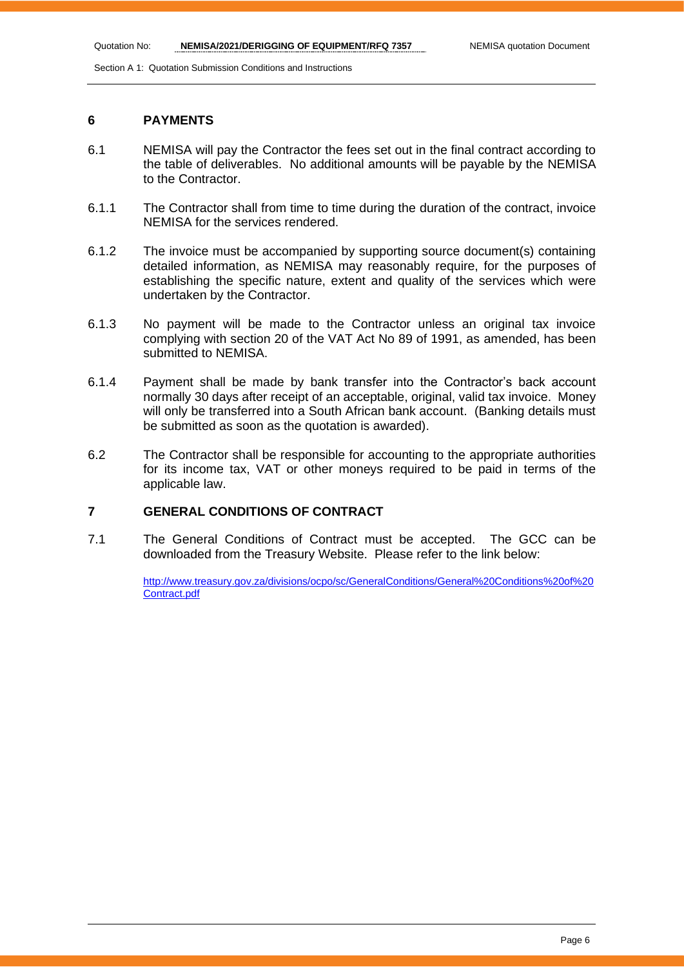Section A 1: Quotation Submission Conditions and Instructions

## **6 PAYMENTS**

- 6.1 NEMISA will pay the Contractor the fees set out in the final contract according to the table of deliverables. No additional amounts will be payable by the NEMISA to the Contractor.
- 6.1.1 The Contractor shall from time to time during the duration of the contract, invoice NEMISA for the services rendered.
- 6.1.2 The invoice must be accompanied by supporting source document(s) containing detailed information, as NEMISA may reasonably require, for the purposes of establishing the specific nature, extent and quality of the services which were undertaken by the Contractor.
- 6.1.3 No payment will be made to the Contractor unless an original tax invoice complying with section 20 of the VAT Act No 89 of 1991, as amended, has been submitted to NEMISA.
- 6.1.4 Payment shall be made by bank transfer into the Contractor's back account normally 30 days after receipt of an acceptable, original, valid tax invoice. Money will only be transferred into a South African bank account. (Banking details must be submitted as soon as the quotation is awarded).
- 6.2 The Contractor shall be responsible for accounting to the appropriate authorities for its income tax, VAT or other moneys required to be paid in terms of the applicable law.

# **7 GENERAL CONDITIONS OF CONTRACT**

7.1 The General Conditions of Contract must be accepted. The GCC can be downloaded from the Treasury Website. Please refer to the link below:

> [http://www.treasury.gov.za/divisions/ocpo/sc/GeneralConditions/General%20Conditions%20of%20](http://www.treasury.gov.za/divisions/ocpo/sc/GeneralConditions/General%20Conditions%20of%20Contract.pdf) [Contract.pdf](http://www.treasury.gov.za/divisions/ocpo/sc/GeneralConditions/General%20Conditions%20of%20Contract.pdf)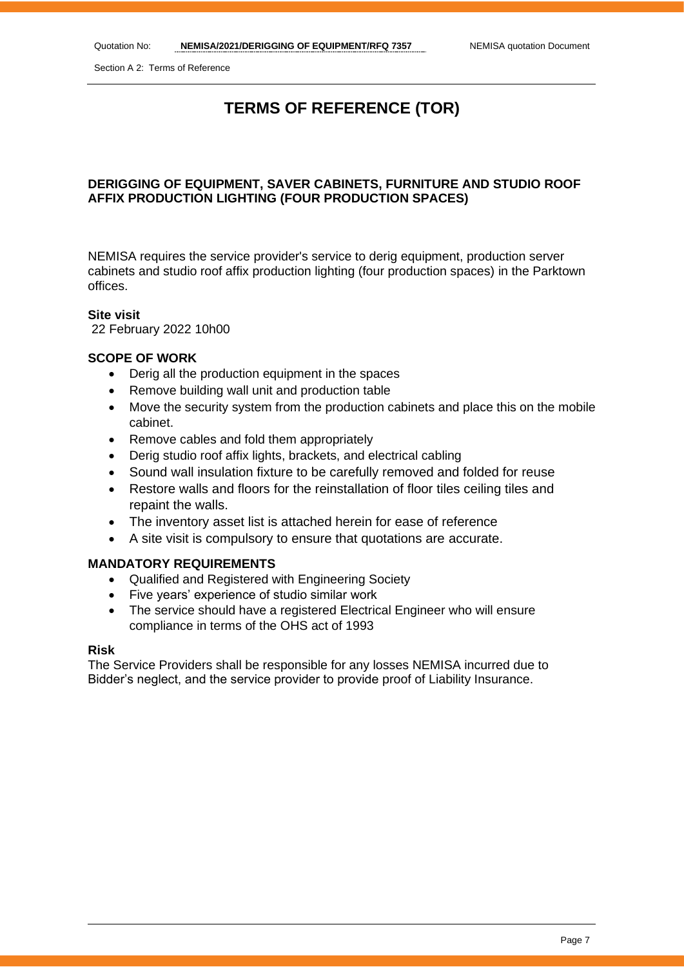Section A 2: Terms of Reference

# **TERMS OF REFERENCE (TOR)**

# **DERIGGING OF EQUIPMENT, SAVER CABINETS, FURNITURE AND STUDIO ROOF AFFIX PRODUCTION LIGHTING (FOUR PRODUCTION SPACES)**

NEMISA requires the service provider's service to derig equipment, production server cabinets and studio roof affix production lighting (four production spaces) in the Parktown offices.

### **Site visit**

22 February 2022 10h00

# **SCOPE OF WORK**

- Derig all the production equipment in the spaces
- Remove building wall unit and production table
- Move the security system from the production cabinets and place this on the mobile cabinet.
- Remove cables and fold them appropriately
- Derig studio roof affix lights, brackets, and electrical cabling
- Sound wall insulation fixture to be carefully removed and folded for reuse
- Restore walls and floors for the reinstallation of floor tiles ceiling tiles and repaint the walls.
- The inventory asset list is attached herein for ease of reference
- A site visit is compulsory to ensure that quotations are accurate.

### **MANDATORY REQUIREMENTS**

- Qualified and Registered with Engineering Society
- Five years' experience of studio similar work
- The service should have a registered Electrical Engineer who will ensure compliance in terms of the OHS act of 1993

# **Risk**

The Service Providers shall be responsible for any losses NEMISA incurred due to Bidder's neglect, and the service provider to provide proof of Liability Insurance.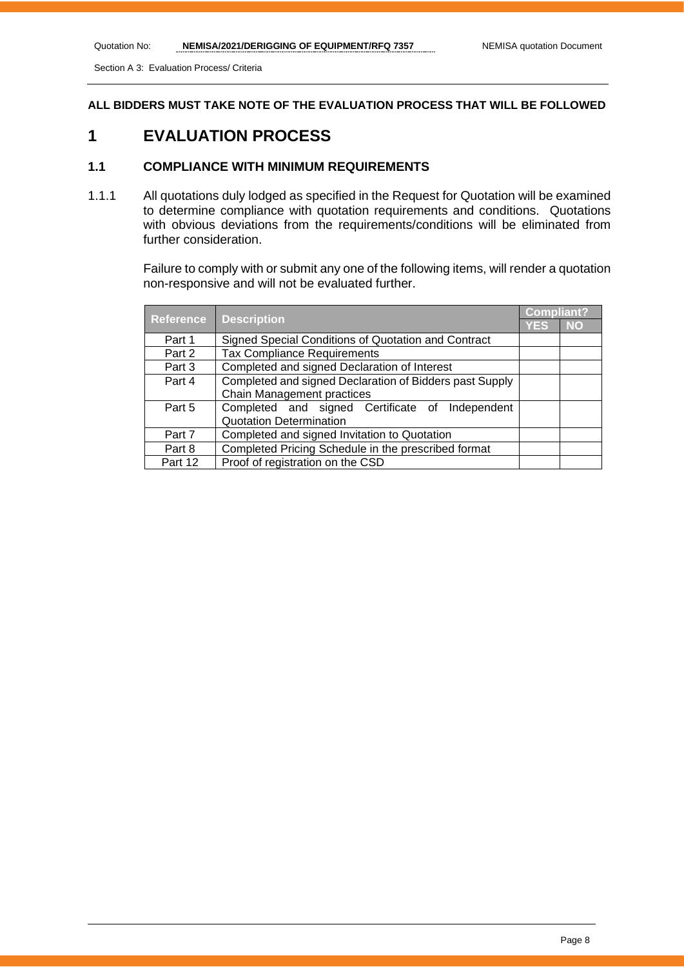Section A 3: Evaluation Process/ Criteria

**ALL BIDDERS MUST TAKE NOTE OF THE EVALUATION PROCESS THAT WILL BE FOLLOWED**

# **1 EVALUATION PROCESS**

# **1.1 COMPLIANCE WITH MINIMUM REQUIREMENTS**

1.1.1 All quotations duly lodged as specified in the Request for Quotation will be examined to determine compliance with quotation requirements and conditions. Quotations with obvious deviations from the requirements/conditions will be eliminated from further consideration.

> Failure to comply with or submit any one of the following items, will render a quotation non-responsive and will not be evaluated further.

|                  | <b>Description</b>                                      |            | <b>Compliant?</b> |
|------------------|---------------------------------------------------------|------------|-------------------|
| <b>Reference</b> |                                                         | <b>YES</b> | <b>NO</b>         |
| Part 1           | Signed Special Conditions of Quotation and Contract     |            |                   |
| Part 2           | <b>Tax Compliance Requirements</b>                      |            |                   |
| Part 3           | Completed and signed Declaration of Interest            |            |                   |
| Part 4           | Completed and signed Declaration of Bidders past Supply |            |                   |
|                  | <b>Chain Management practices</b>                       |            |                   |
| Part 5           | Completed and signed Certificate of Independent         |            |                   |
|                  | <b>Quotation Determination</b>                          |            |                   |
| Part 7           | Completed and signed Invitation to Quotation            |            |                   |
| Part 8           | Completed Pricing Schedule in the prescribed format     |            |                   |
| Part 12          | Proof of registration on the CSD                        |            |                   |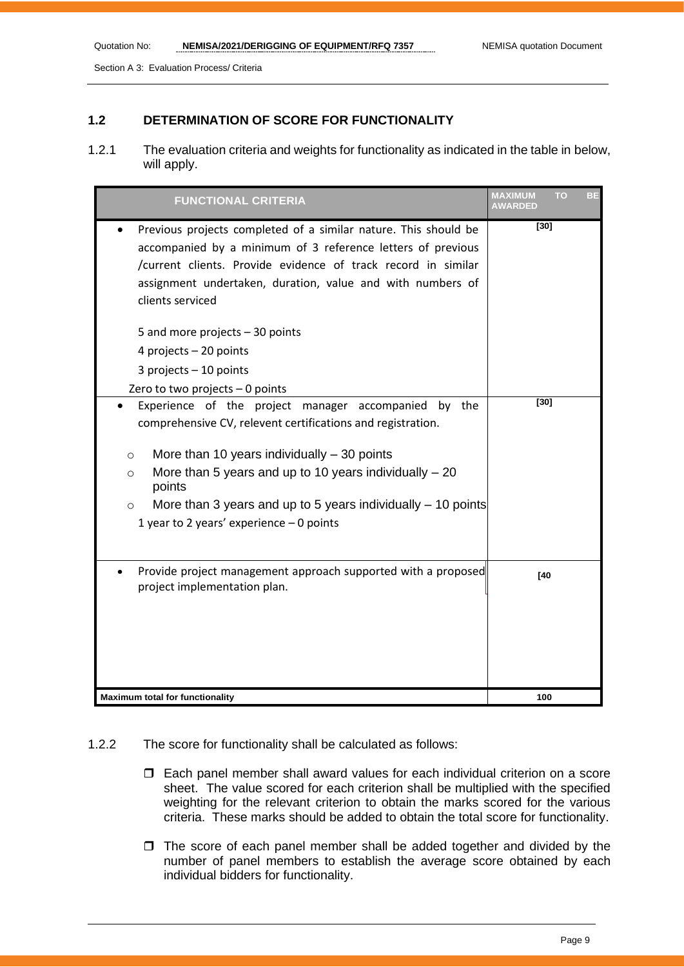Section A 3: Evaluation Process/ Criteria

# **1.2 DETERMINATION OF SCORE FOR FUNCTIONALITY**

1.2.1 The evaluation criteria and weights for functionality as indicated in the table in below, will apply.

| <b>FUNCTIONAL CRITERIA</b>                                                                                                                                                                                                                                                                                                                                                                  | <b>MAXIMUM</b><br><b>AWARDED</b> | <b>TO</b><br>вE |
|---------------------------------------------------------------------------------------------------------------------------------------------------------------------------------------------------------------------------------------------------------------------------------------------------------------------------------------------------------------------------------------------|----------------------------------|-----------------|
| Previous projects completed of a similar nature. This should be<br>accompanied by a minimum of 3 reference letters of previous<br>/current clients. Provide evidence of track record in similar<br>assignment undertaken, duration, value and with numbers of<br>clients serviced<br>5 and more projects $-30$ points<br>4 projects $-20$ points<br>3 projects $-10$ points                 | [30]                             |                 |
| Zero to two projects $-0$ points                                                                                                                                                                                                                                                                                                                                                            |                                  |                 |
| Experience of the project manager accompanied<br>by the<br>comprehensive CV, relevent certifications and registration.<br>More than 10 years individually $-30$ points<br>$\circ$<br>More than 5 years and up to 10 years individually $-20$<br>$\circ$<br>points<br>More than 3 years and up to 5 years individually $-$ 10 points<br>$\circ$<br>1 year to 2 years' experience $-0$ points | $[30]$                           |                 |
| Provide project management approach supported with a proposed<br>project implementation plan.                                                                                                                                                                                                                                                                                               | [40]                             |                 |
| <b>Maximum total for functionality</b>                                                                                                                                                                                                                                                                                                                                                      | 100                              |                 |

### 1.2.2 The score for functionality shall be calculated as follows:

- Each panel member shall award values for each individual criterion on a score sheet. The value scored for each criterion shall be multiplied with the specified weighting for the relevant criterion to obtain the marks scored for the various criteria. These marks should be added to obtain the total score for functionality.
- $\Box$  The score of each panel member shall be added together and divided by the number of panel members to establish the average score obtained by each individual bidders for functionality.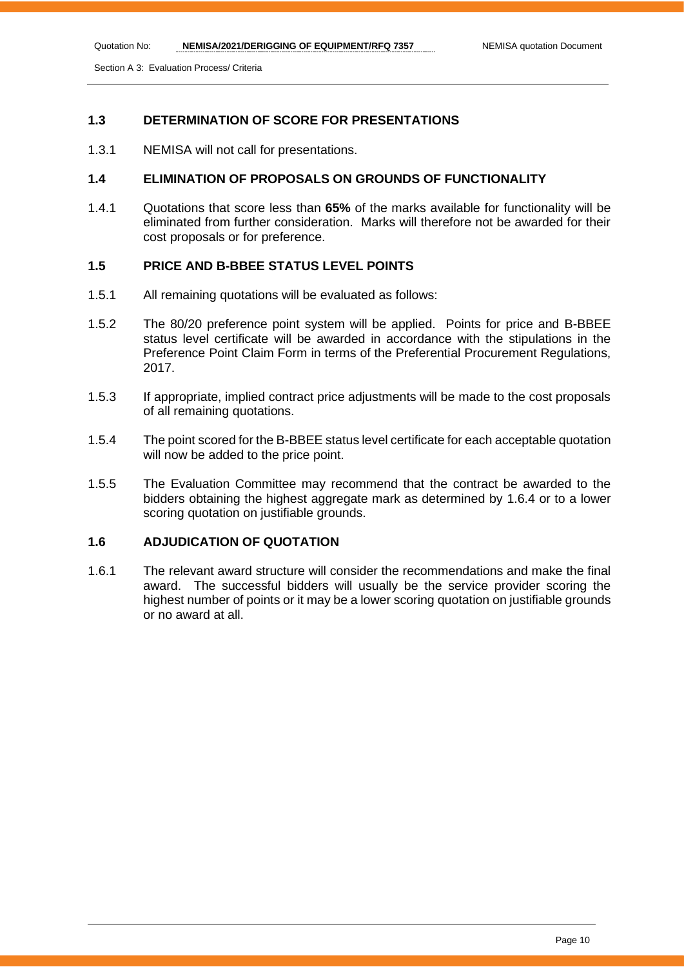Section A 3: Evaluation Process/ Criteria

# **1.3 DETERMINATION OF SCORE FOR PRESENTATIONS**

1.3.1 NEMISA will not call for presentations.

# **1.4 ELIMINATION OF PROPOSALS ON GROUNDS OF FUNCTIONALITY**

1.4.1 Quotations that score less than **65%** of the marks available for functionality will be eliminated from further consideration. Marks will therefore not be awarded for their cost proposals or for preference.

# **1.5 PRICE AND B-BBEE STATUS LEVEL POINTS**

- 1.5.1 All remaining quotations will be evaluated as follows:
- 1.5.2 The 80/20 preference point system will be applied. Points for price and B-BBEE status level certificate will be awarded in accordance with the stipulations in the Preference Point Claim Form in terms of the Preferential Procurement Regulations, 2017.
- 1.5.3 If appropriate, implied contract price adjustments will be made to the cost proposals of all remaining quotations.
- 1.5.4 The point scored for the B-BBEE status level certificate for each acceptable quotation will now be added to the price point.
- 1.5.5 The Evaluation Committee may recommend that the contract be awarded to the bidders obtaining the highest aggregate mark as determined by 1.6.4 or to a lower scoring quotation on justifiable grounds.

# **1.6 ADJUDICATION OF QUOTATION**

1.6.1 The relevant award structure will consider the recommendations and make the final award. The successful bidders will usually be the service provider scoring the highest number of points or it may be a lower scoring quotation on justifiable grounds or no award at all.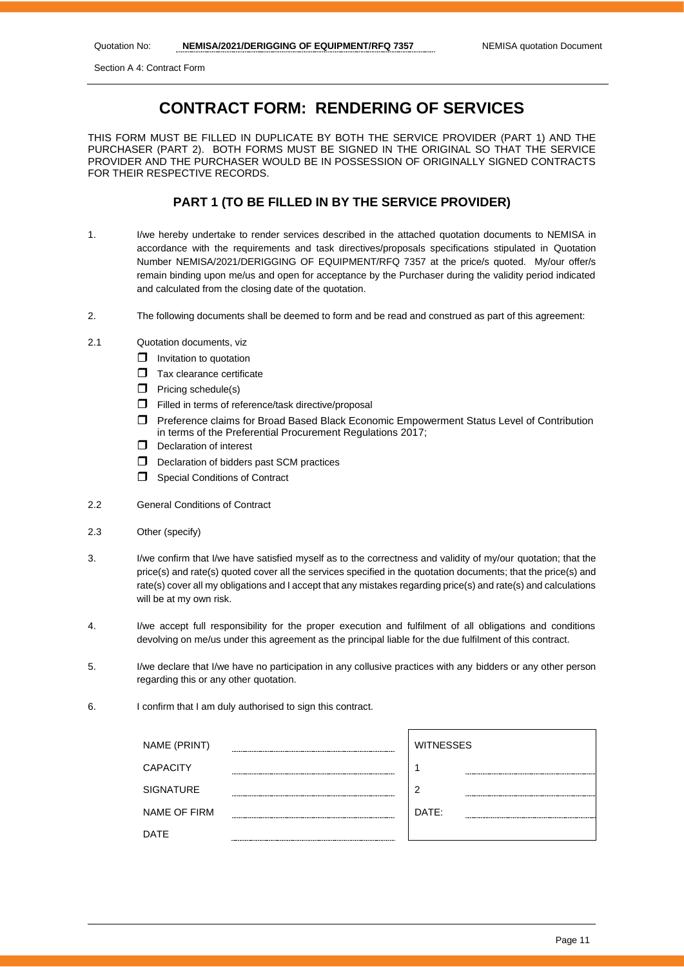Section A 4: Contract Form

# **CONTRACT FORM: RENDERING OF SERVICES**

THIS FORM MUST BE FILLED IN DUPLICATE BY BOTH THE SERVICE PROVIDER (PART 1) AND THE PURCHASER (PART 2). BOTH FORMS MUST BE SIGNED IN THE ORIGINAL SO THAT THE SERVICE PROVIDER AND THE PURCHASER WOULD BE IN POSSESSION OF ORIGINALLY SIGNED CONTRACTS FOR THEIR RESPECTIVE RECORDS.

# **PART 1 (TO BE FILLED IN BY THE SERVICE PROVIDER)**

- 1. I/we hereby undertake to render services described in the attached quotation documents to NEMISA in accordance with the requirements and task directives/proposals specifications stipulated in Quotation Number NEMISA/2021/DERIGGING OF EQUIPMENT/RFQ 7357 at the price/s quoted. My/our offer/s remain binding upon me/us and open for acceptance by the Purchaser during the validity period indicated and calculated from the closing date of the quotation.
- 2. The following documents shall be deemed to form and be read and construed as part of this agreement:
- 2.1 Quotation documents, viz
	- $\Box$  Invitation to quotation
	- $\Box$  Tax clearance certificate
	- $\Box$  Pricing schedule(s)
	- $\Box$  Filled in terms of reference/task directive/proposal
	- Preference claims for Broad Based Black Economic Empowerment Status Level of Contribution in terms of the Preferential Procurement Regulations 2017;
	- D Declaration of interest
	- $\Box$  Declaration of bidders past SCM practices
	- **Special Conditions of Contract**
- 2.2 General Conditions of Contract
- 2.3 Other (specify)
- 3. I/we confirm that I/we have satisfied myself as to the correctness and validity of my/our quotation; that the price(s) and rate(s) quoted cover all the services specified in the quotation documents; that the price(s) and rate(s) cover all my obligations and I accept that any mistakes regarding price(s) and rate(s) and calculations will be at my own risk.
- 4. I/we accept full responsibility for the proper execution and fulfilment of all obligations and conditions devolving on me/us under this agreement as the principal liable for the due fulfilment of this contract.
- 5. I/we declare that I/we have no participation in any collusive practices with any bidders or any other person regarding this or any other quotation.
- 6. I confirm that I am duly authorised to sign this contract.

| NAME (PRINT)        |        | <b>WITNESSES</b> |
|---------------------|--------|------------------|
| <b>CAPACITY</b>     |        |                  |
| <b>SIGNATURE</b>    | ------ | 2                |
| <b>NAME OF FIRM</b> |        | DATE:            |
| DATE                |        |                  |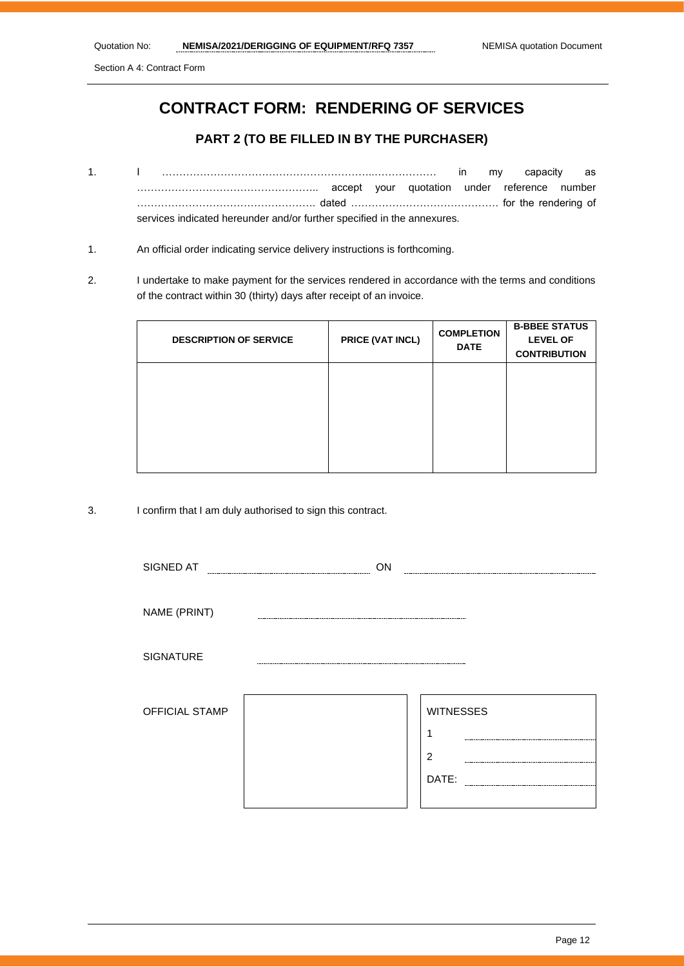Section A 4: Contract Form

# **CONTRACT FORM: RENDERING OF SERVICES**

# **PART 2 (TO BE FILLED IN BY THE PURCHASER)**

- 1. I ……………………………………………………..……………… in my capacity as …………………………………………….. accept your quotation under reference number ……………………………………………. dated ……………………………………. for the rendering of services indicated hereunder and/or further specified in the annexures.
- 1. An official order indicating service delivery instructions is forthcoming.
- 2. I undertake to make payment for the services rendered in accordance with the terms and conditions of the contract within 30 (thirty) days after receipt of an invoice.

| <b>DESCRIPTION OF SERVICE</b> | PRICE (VAT INCL) | <b>COMPLETION</b><br><b>DATE</b> | <b>B-BBEE STATUS</b><br><b>LEVEL OF</b><br><b>CONTRIBUTION</b> |
|-------------------------------|------------------|----------------------------------|----------------------------------------------------------------|
|                               |                  |                                  |                                                                |
|                               |                  |                                  |                                                                |

3. I confirm that I am duly authorised to sign this contract.

| SIGNED AT             | ON |                  |
|-----------------------|----|------------------|
|                       |    |                  |
| NAME (PRINT)          |    |                  |
| SIGNATURE             |    |                  |
| <b>OFFICIAL STAMP</b> |    | <b>WITNESSES</b> |
|                       |    | $\overline{2}$   |
|                       |    | DATE:            |
|                       |    |                  |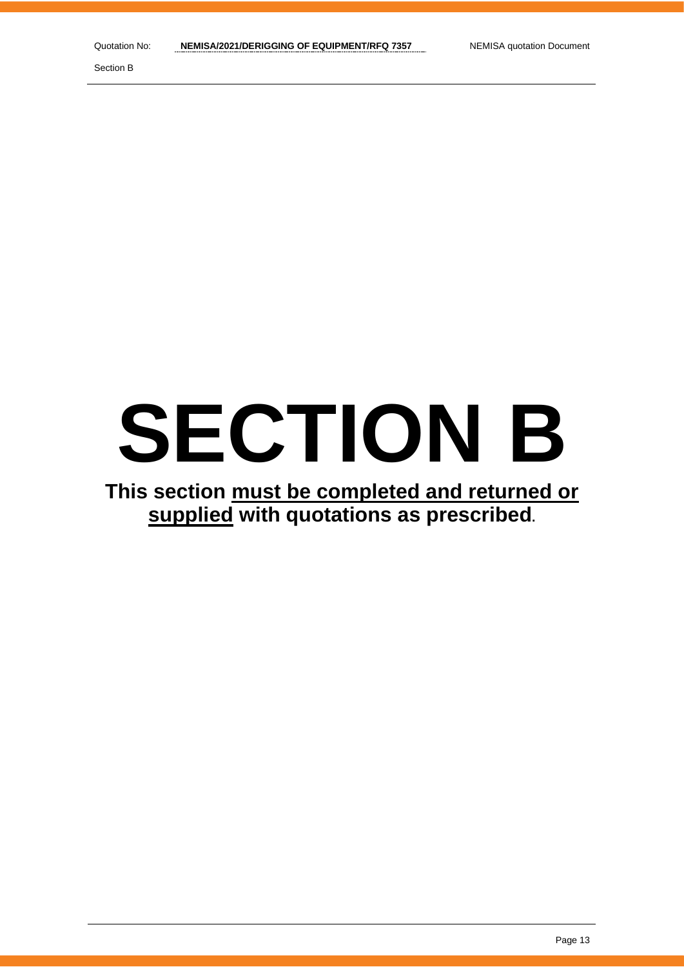Section B

# **SECTION B**

# **This section must be completed and returned or supplied with quotations as prescribed.**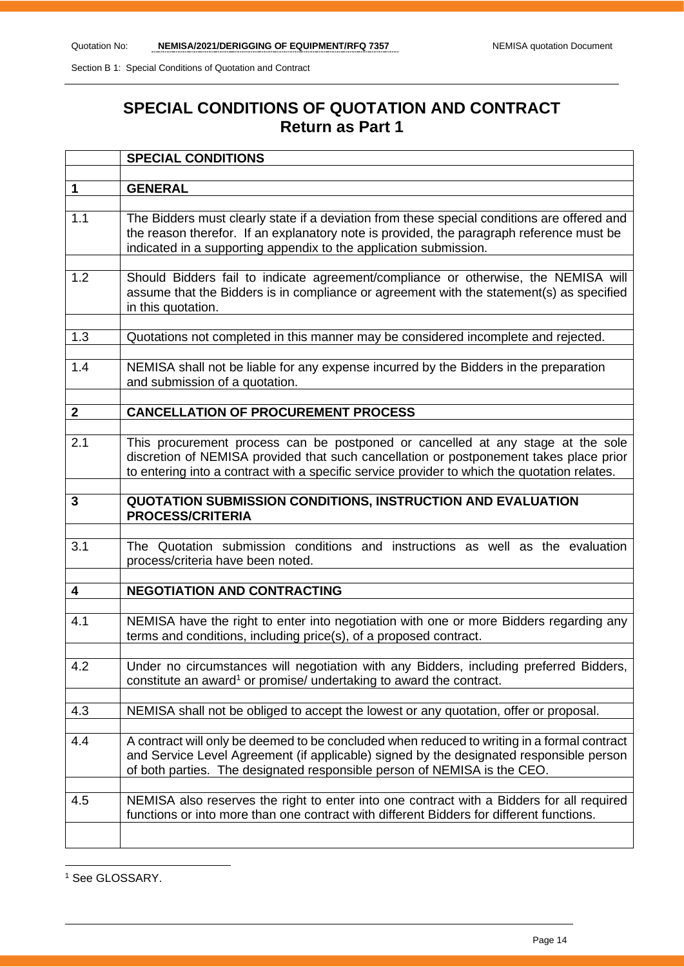# **SPECIAL CONDITIONS OF QUOTATION AND CONTRACT Return as Part 1**

|              | <b>SPECIAL CONDITIONS</b>                                                                                                                                                                                                                                                 |
|--------------|---------------------------------------------------------------------------------------------------------------------------------------------------------------------------------------------------------------------------------------------------------------------------|
|              |                                                                                                                                                                                                                                                                           |
| $\mathbf 1$  | <b>GENERAL</b>                                                                                                                                                                                                                                                            |
| 1.1          | The Bidders must clearly state if a deviation from these special conditions are offered and<br>the reason therefor. If an explanatory note is provided, the paragraph reference must be<br>indicated in a supporting appendix to the application submission.              |
| 1.2          | Should Bidders fail to indicate agreement/compliance or otherwise, the NEMISA will<br>assume that the Bidders is in compliance or agreement with the statement(s) as specified<br>in this quotation.                                                                      |
| 1.3          | Quotations not completed in this manner may be considered incomplete and rejected.                                                                                                                                                                                        |
| 1.4          | NEMISA shall not be liable for any expense incurred by the Bidders in the preparation<br>and submission of a quotation.                                                                                                                                                   |
| $\mathbf{2}$ | <b>CANCELLATION OF PROCUREMENT PROCESS</b>                                                                                                                                                                                                                                |
|              |                                                                                                                                                                                                                                                                           |
| 2.1          | This procurement process can be postponed or cancelled at any stage at the sole<br>discretion of NEMISA provided that such cancellation or postponement takes place prior<br>to entering into a contract with a specific service provider to which the quotation relates. |
| 3            | <b>QUOTATION SUBMISSION CONDITIONS, INSTRUCTION AND EVALUATION</b><br><b>PROCESS/CRITERIA</b>                                                                                                                                                                             |
| 3.1          | The Quotation submission conditions and instructions as well as the evaluation<br>process/criteria have been noted.                                                                                                                                                       |
| 4            | <b>NEGOTIATION AND CONTRACTING</b>                                                                                                                                                                                                                                        |
| 4.1          | NEMISA have the right to enter into negotiation with one or more Bidders regarding any<br>terms and conditions, including price(s), of a proposed contract.                                                                                                               |
| 4.2          | Under no circumstances will negotiation with any Bidders, including preferred Bidders,<br>constitute an award <sup>1</sup> or promise/ undertaking to award the contract.                                                                                                 |
| 4.3          | NEMISA shall not be obliged to accept the lowest or any quotation, offer or proposal.                                                                                                                                                                                     |
| 4.4          | A contract will only be deemed to be concluded when reduced to writing in a formal contract<br>and Service Level Agreement (if applicable) signed by the designated responsible person<br>of both parties. The designated responsible person of NEMISA is the CEO.        |
| 4.5          | NEMISA also reserves the right to enter into one contract with a Bidders for all required<br>functions or into more than one contract with different Bidders for different functions.                                                                                     |
|              |                                                                                                                                                                                                                                                                           |

<sup>1</sup> See GLOSSARY.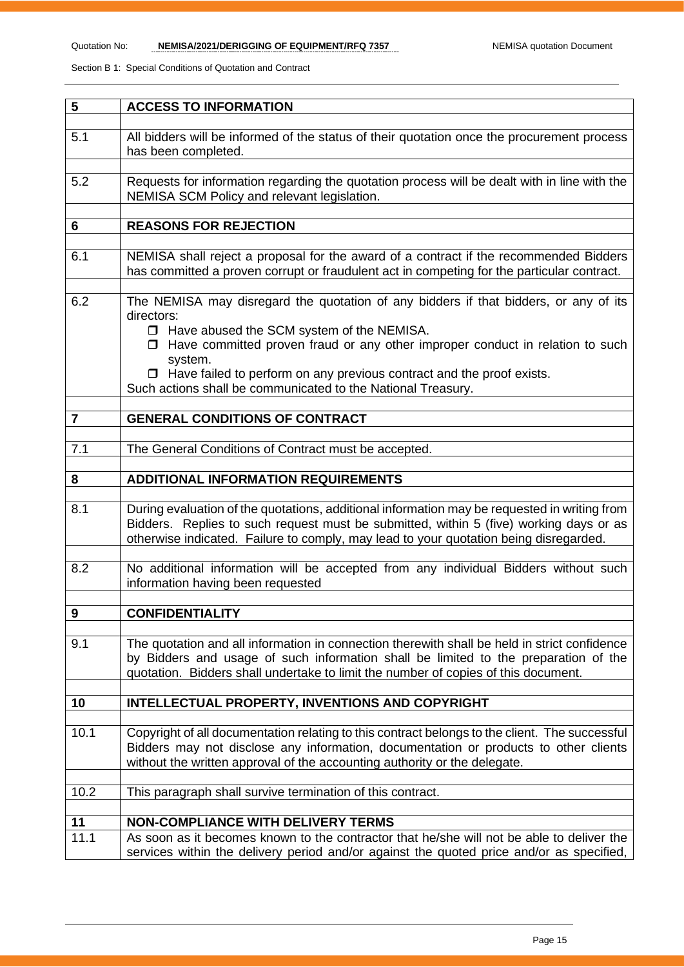| 5              | <b>ACCESS TO INFORMATION</b>                                                                                                                                                                                                                                                                                                                                                                         |
|----------------|------------------------------------------------------------------------------------------------------------------------------------------------------------------------------------------------------------------------------------------------------------------------------------------------------------------------------------------------------------------------------------------------------|
| 5.1            | All bidders will be informed of the status of their quotation once the procurement process<br>has been completed.                                                                                                                                                                                                                                                                                    |
| 5.2            | Requests for information regarding the quotation process will be dealt with in line with the<br>NEMISA SCM Policy and relevant legislation.                                                                                                                                                                                                                                                          |
| 6              | <b>REASONS FOR REJECTION</b>                                                                                                                                                                                                                                                                                                                                                                         |
| 6.1            | NEMISA shall reject a proposal for the award of a contract if the recommended Bidders<br>has committed a proven corrupt or fraudulent act in competing for the particular contract.                                                                                                                                                                                                                  |
| 6.2            | The NEMISA may disregard the quotation of any bidders if that bidders, or any of its<br>directors:<br>□ Have abused the SCM system of the NEMISA.<br>$\Box$ Have committed proven fraud or any other improper conduct in relation to such<br>system.<br>$\Box$ Have failed to perform on any previous contract and the proof exists.<br>Such actions shall be communicated to the National Treasury. |
| $\overline{7}$ | <b>GENERAL CONDITIONS OF CONTRACT</b>                                                                                                                                                                                                                                                                                                                                                                |
| 7.1            | The General Conditions of Contract must be accepted.                                                                                                                                                                                                                                                                                                                                                 |
| 8              | <b>ADDITIONAL INFORMATION REQUIREMENTS</b>                                                                                                                                                                                                                                                                                                                                                           |
| 8.1            | During evaluation of the quotations, additional information may be requested in writing from<br>Bidders. Replies to such request must be submitted, within 5 (five) working days or as<br>otherwise indicated. Failure to comply, may lead to your quotation being disregarded.                                                                                                                      |
| 8.2            | No additional information will be accepted from any individual Bidders without such<br>information having been requested                                                                                                                                                                                                                                                                             |
| 9              | <b>CONFIDENTIALITY</b>                                                                                                                                                                                                                                                                                                                                                                               |
| 9.1            | The quotation and all information in connection therewith shall be held in strict confidence<br>by Bidders and usage of such information shall be limited to the preparation of the<br>quotation. Bidders shall undertake to limit the number of copies of this document.                                                                                                                            |
| 10             | <b>INTELLECTUAL PROPERTY, INVENTIONS AND COPYRIGHT</b>                                                                                                                                                                                                                                                                                                                                               |
| 10.1           | Copyright of all documentation relating to this contract belongs to the client. The successful<br>Bidders may not disclose any information, documentation or products to other clients<br>without the written approval of the accounting authority or the delegate.                                                                                                                                  |
| 10.2           | This paragraph shall survive termination of this contract.                                                                                                                                                                                                                                                                                                                                           |
|                |                                                                                                                                                                                                                                                                                                                                                                                                      |
| 11<br>11.1     | <b>NON-COMPLIANCE WITH DELIVERY TERMS</b><br>As soon as it becomes known to the contractor that he/she will not be able to deliver the<br>services within the delivery period and/or against the quoted price and/or as specified,                                                                                                                                                                   |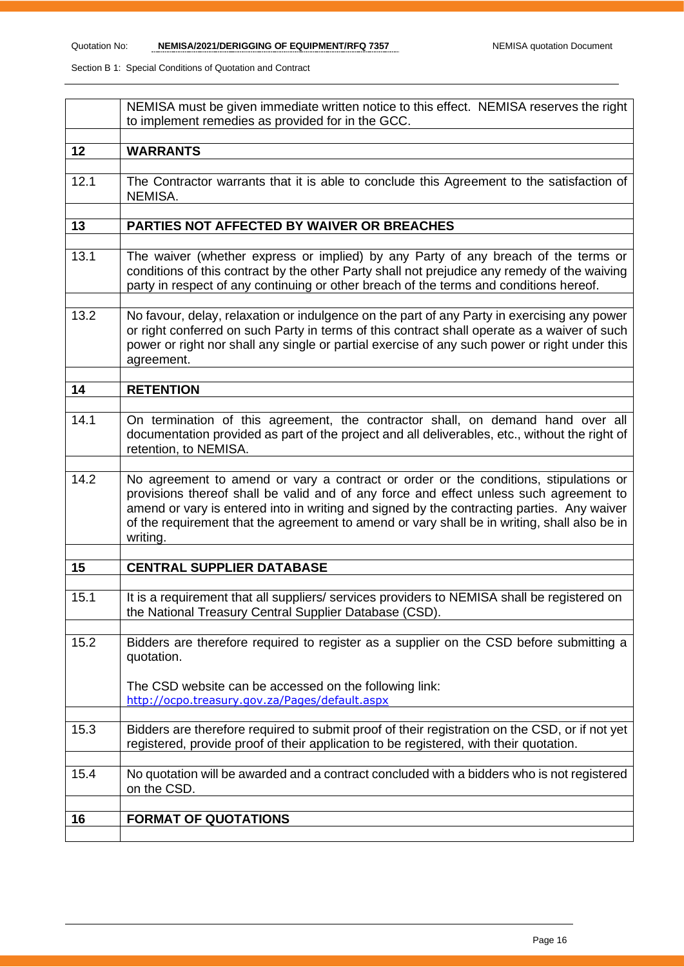|      | NEMISA must be given immediate written notice to this effect. NEMISA reserves the right<br>to implement remedies as provided for in the GCC.                                                                                                                                                                                                                                             |
|------|------------------------------------------------------------------------------------------------------------------------------------------------------------------------------------------------------------------------------------------------------------------------------------------------------------------------------------------------------------------------------------------|
| 12   | <b>WARRANTS</b>                                                                                                                                                                                                                                                                                                                                                                          |
| 12.1 | The Contractor warrants that it is able to conclude this Agreement to the satisfaction of<br>NEMISA.                                                                                                                                                                                                                                                                                     |
| 13   | PARTIES NOT AFFECTED BY WAIVER OR BREACHES                                                                                                                                                                                                                                                                                                                                               |
| 13.1 | The waiver (whether express or implied) by any Party of any breach of the terms or<br>conditions of this contract by the other Party shall not prejudice any remedy of the waiving<br>party in respect of any continuing or other breach of the terms and conditions hereof.                                                                                                             |
| 13.2 | No favour, delay, relaxation or indulgence on the part of any Party in exercising any power<br>or right conferred on such Party in terms of this contract shall operate as a waiver of such<br>power or right nor shall any single or partial exercise of any such power or right under this<br>agreement.                                                                               |
| 14   | <b>RETENTION</b>                                                                                                                                                                                                                                                                                                                                                                         |
| 14.1 | On termination of this agreement, the contractor shall, on demand hand over all<br>documentation provided as part of the project and all deliverables, etc., without the right of<br>retention, to NEMISA.                                                                                                                                                                               |
| 14.2 | No agreement to amend or vary a contract or order or the conditions, stipulations or<br>provisions thereof shall be valid and of any force and effect unless such agreement to<br>amend or vary is entered into in writing and signed by the contracting parties. Any waiver<br>of the requirement that the agreement to amend or vary shall be in writing, shall also be in<br>writing. |
| 15   | <b>CENTRAL SUPPLIER DATABASE</b>                                                                                                                                                                                                                                                                                                                                                         |
| 15.1 | It is a requirement that all suppliers/ services providers to NEMISA shall be registered on<br>the National Treasury Central Supplier Database (CSD).                                                                                                                                                                                                                                    |
| 15.2 | Bidders are therefore required to register as a supplier on the CSD before submitting a<br>quotation.                                                                                                                                                                                                                                                                                    |
|      | The CSD website can be accessed on the following link:<br>http://ocpo.treasury.gov.za/Pages/default.aspx                                                                                                                                                                                                                                                                                 |
| 15.3 | Bidders are therefore required to submit proof of their registration on the CSD, or if not yet<br>registered, provide proof of their application to be registered, with their quotation.                                                                                                                                                                                                 |
| 15.4 | No quotation will be awarded and a contract concluded with a bidders who is not registered<br>on the CSD.                                                                                                                                                                                                                                                                                |
| 16   | <b>FORMAT OF QUOTATIONS</b>                                                                                                                                                                                                                                                                                                                                                              |
|      |                                                                                                                                                                                                                                                                                                                                                                                          |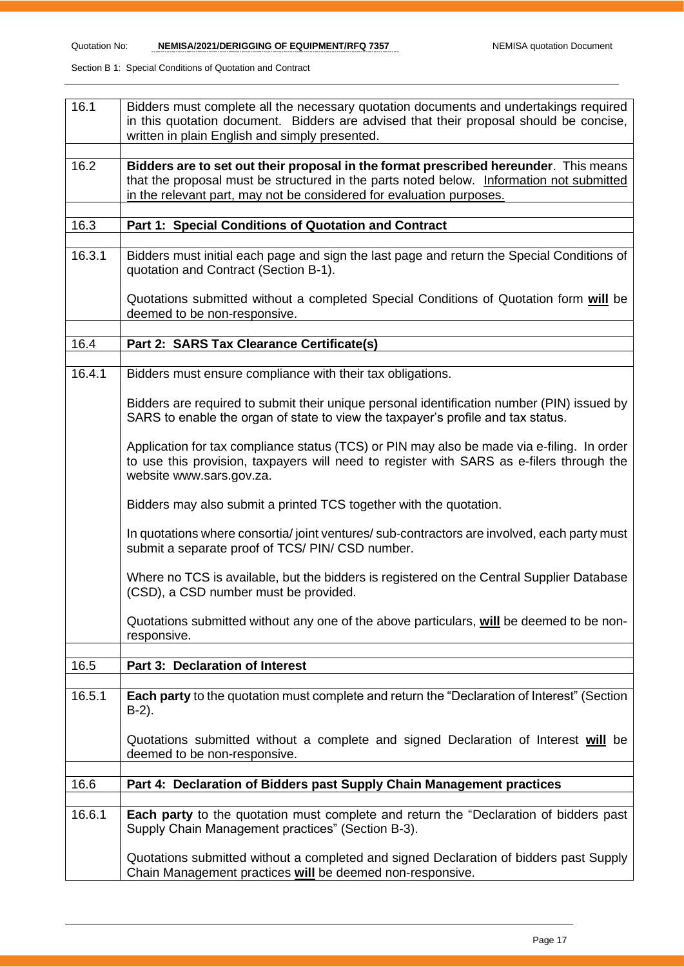| 16.1   | Bidders must complete all the necessary quotation documents and undertakings required<br>in this quotation document. Bidders are advised that their proposal should be concise,<br>written in plain English and simply presented.                        |
|--------|----------------------------------------------------------------------------------------------------------------------------------------------------------------------------------------------------------------------------------------------------------|
| 16.2   | Bidders are to set out their proposal in the format prescribed hereunder. This means<br>that the proposal must be structured in the parts noted below. Information not submitted<br>in the relevant part, may not be considered for evaluation purposes. |
| 16.3   | Part 1: Special Conditions of Quotation and Contract                                                                                                                                                                                                     |
| 16.3.1 | Bidders must initial each page and sign the last page and return the Special Conditions of<br>quotation and Contract (Section B-1).                                                                                                                      |
|        | Quotations submitted without a completed Special Conditions of Quotation form will be<br>deemed to be non-responsive.                                                                                                                                    |
| 16.4   | Part 2: SARS Tax Clearance Certificate(s)                                                                                                                                                                                                                |
|        |                                                                                                                                                                                                                                                          |
| 16.4.1 | Bidders must ensure compliance with their tax obligations.                                                                                                                                                                                               |
|        | Bidders are required to submit their unique personal identification number (PIN) issued by<br>SARS to enable the organ of state to view the taxpayer's profile and tax status.                                                                           |
|        | Application for tax compliance status (TCS) or PIN may also be made via e-filing. In order<br>to use this provision, taxpayers will need to register with SARS as e-filers through the<br>website www.sars.gov.za.                                       |
|        | Bidders may also submit a printed TCS together with the quotation.                                                                                                                                                                                       |
|        | In quotations where consortia/joint ventures/sub-contractors are involved, each party must<br>submit a separate proof of TCS/ PIN/ CSD number.                                                                                                           |
|        | Where no TCS is available, but the bidders is registered on the Central Supplier Database<br>(CSD), a CSD number must be provided.                                                                                                                       |
|        | Quotations submitted without any one of the above particulars, will be deemed to be non-<br>responsive.                                                                                                                                                  |
| 16.5   | Part 3: Declaration of Interest                                                                                                                                                                                                                          |
|        |                                                                                                                                                                                                                                                          |
| 16.5.1 | Each party to the quotation must complete and return the "Declaration of Interest" (Section<br>$B-2$ ).                                                                                                                                                  |
|        | Quotations submitted without a complete and signed Declaration of Interest will be<br>deemed to be non-responsive.                                                                                                                                       |
| 16.6   | Part 4: Declaration of Bidders past Supply Chain Management practices                                                                                                                                                                                    |
|        |                                                                                                                                                                                                                                                          |
| 16.6.1 | <b>Each party</b> to the quotation must complete and return the "Declaration of bidders past<br>Supply Chain Management practices" (Section B-3).                                                                                                        |
|        | Quotations submitted without a completed and signed Declaration of bidders past Supply<br>Chain Management practices will be deemed non-responsive.                                                                                                      |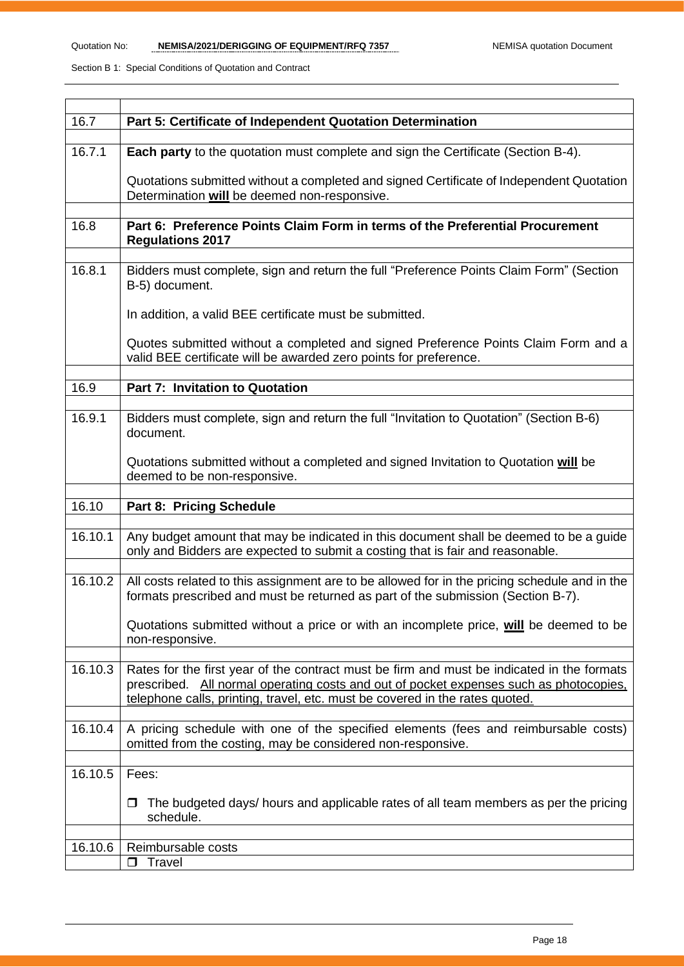| 16.7    | Part 5: Certificate of Independent Quotation Determination                                                                                                                                                                                                           |
|---------|----------------------------------------------------------------------------------------------------------------------------------------------------------------------------------------------------------------------------------------------------------------------|
| 16.7.1  | <b>Each party</b> to the quotation must complete and sign the Certificate (Section B-4).                                                                                                                                                                             |
|         | Quotations submitted without a completed and signed Certificate of Independent Quotation<br>Determination will be deemed non-responsive.                                                                                                                             |
| 16.8    | Part 6: Preference Points Claim Form in terms of the Preferential Procurement<br><b>Regulations 2017</b>                                                                                                                                                             |
| 16.8.1  | Bidders must complete, sign and return the full "Preference Points Claim Form" (Section<br>B-5) document.                                                                                                                                                            |
|         | In addition, a valid BEE certificate must be submitted.                                                                                                                                                                                                              |
|         | Quotes submitted without a completed and signed Preference Points Claim Form and a<br>valid BEE certificate will be awarded zero points for preference.                                                                                                              |
| 16.9    | Part 7: Invitation to Quotation                                                                                                                                                                                                                                      |
|         |                                                                                                                                                                                                                                                                      |
| 16.9.1  | Bidders must complete, sign and return the full "Invitation to Quotation" (Section B-6)<br>document.                                                                                                                                                                 |
|         | Quotations submitted without a completed and signed Invitation to Quotation will be<br>deemed to be non-responsive.                                                                                                                                                  |
| 16.10   | <b>Part 8: Pricing Schedule</b>                                                                                                                                                                                                                                      |
|         |                                                                                                                                                                                                                                                                      |
| 16.10.1 | Any budget amount that may be indicated in this document shall be deemed to be a guide<br>only and Bidders are expected to submit a costing that is fair and reasonable.                                                                                             |
| 16.10.2 | All costs related to this assignment are to be allowed for in the pricing schedule and in the<br>formats prescribed and must be returned as part of the submission (Section B-7).                                                                                    |
|         | Quotations submitted without a price or with an incomplete price, will be deemed to be                                                                                                                                                                               |
|         | non-responsive.                                                                                                                                                                                                                                                      |
| 16.10.3 | Rates for the first year of the contract must be firm and must be indicated in the formats<br>prescribed. All normal operating costs and out of pocket expenses such as photocopies,<br>telephone calls, printing, travel, etc. must be covered in the rates quoted. |
| 16.10.4 | A pricing schedule with one of the specified elements (fees and reimbursable costs)                                                                                                                                                                                  |
|         | omitted from the costing, may be considered non-responsive.                                                                                                                                                                                                          |
| 16.10.5 | Fees:                                                                                                                                                                                                                                                                |
|         | The budgeted days/ hours and applicable rates of all team members as per the pricing<br>◻<br>schedule.                                                                                                                                                               |
|         |                                                                                                                                                                                                                                                                      |
| 16.10.6 | Reimbursable costs<br>Travel<br>$\Box$                                                                                                                                                                                                                               |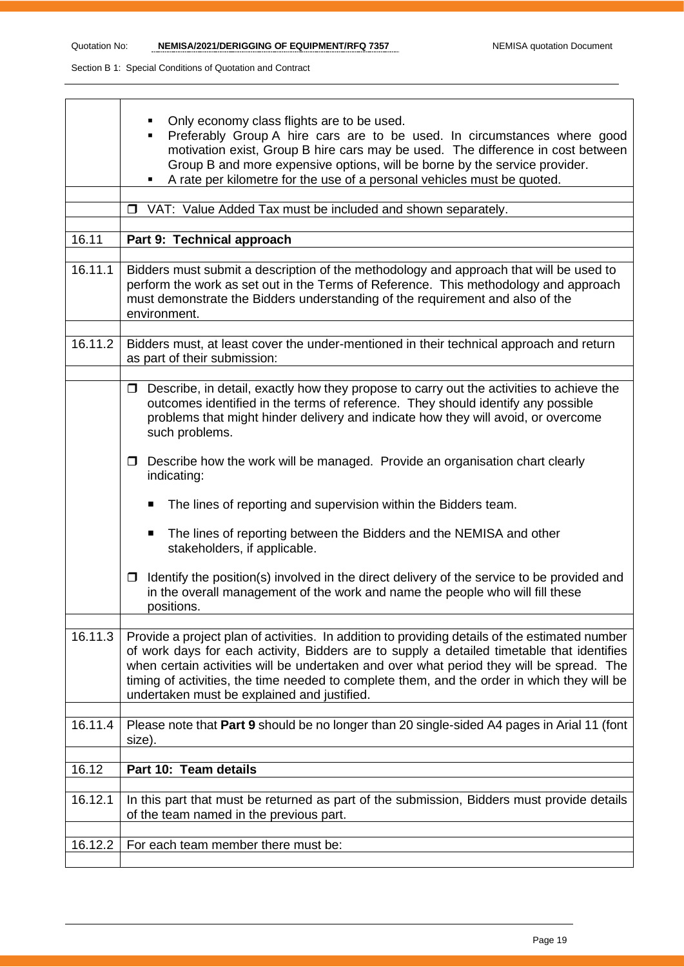|         | Only economy class flights are to be used.<br>Preferably Group A hire cars are to be used. In circumstances where good<br>motivation exist, Group B hire cars may be used. The difference in cost between<br>Group B and more expensive options, will be borne by the service provider.<br>A rate per kilometre for the use of a personal vehicles must be quoted.                                                                     |
|---------|----------------------------------------------------------------------------------------------------------------------------------------------------------------------------------------------------------------------------------------------------------------------------------------------------------------------------------------------------------------------------------------------------------------------------------------|
|         | □ VAT: Value Added Tax must be included and shown separately.                                                                                                                                                                                                                                                                                                                                                                          |
| 16.11   | Part 9: Technical approach                                                                                                                                                                                                                                                                                                                                                                                                             |
|         |                                                                                                                                                                                                                                                                                                                                                                                                                                        |
| 16.11.1 | Bidders must submit a description of the methodology and approach that will be used to<br>perform the work as set out in the Terms of Reference. This methodology and approach<br>must demonstrate the Bidders understanding of the requirement and also of the<br>environment.                                                                                                                                                        |
| 16.11.2 | Bidders must, at least cover the under-mentioned in their technical approach and return<br>as part of their submission:                                                                                                                                                                                                                                                                                                                |
|         | Describe, in detail, exactly how they propose to carry out the activities to achieve the<br>$\Box$<br>outcomes identified in the terms of reference. They should identify any possible<br>problems that might hinder delivery and indicate how they will avoid, or overcome<br>such problems.                                                                                                                                          |
|         | Describe how the work will be managed. Provide an organisation chart clearly<br>$\Box$<br>indicating:                                                                                                                                                                                                                                                                                                                                  |
|         | The lines of reporting and supervision within the Bidders team.<br>п                                                                                                                                                                                                                                                                                                                                                                   |
|         | The lines of reporting between the Bidders and the NEMISA and other<br>п<br>stakeholders, if applicable.                                                                                                                                                                                                                                                                                                                               |
|         | Identify the position(s) involved in the direct delivery of the service to be provided and<br>$\Box$<br>in the overall management of the work and name the people who will fill these<br>positions.                                                                                                                                                                                                                                    |
| 16.11.3 | Provide a project plan of activities. In addition to providing details of the estimated number<br>of work days for each activity, Bidders are to supply a detailed timetable that identifies<br>when certain activities will be undertaken and over what period they will be spread. The<br>timing of activities, the time needed to complete them, and the order in which they will be<br>undertaken must be explained and justified. |
| 16.11.4 | Please note that Part 9 should be no longer than 20 single-sided A4 pages in Arial 11 (font<br>size).                                                                                                                                                                                                                                                                                                                                  |
| 16.12   | Part 10: Team details                                                                                                                                                                                                                                                                                                                                                                                                                  |
|         |                                                                                                                                                                                                                                                                                                                                                                                                                                        |
| 16.12.1 | In this part that must be returned as part of the submission, Bidders must provide details<br>of the team named in the previous part.                                                                                                                                                                                                                                                                                                  |
| 16.12.2 | For each team member there must be:                                                                                                                                                                                                                                                                                                                                                                                                    |
|         |                                                                                                                                                                                                                                                                                                                                                                                                                                        |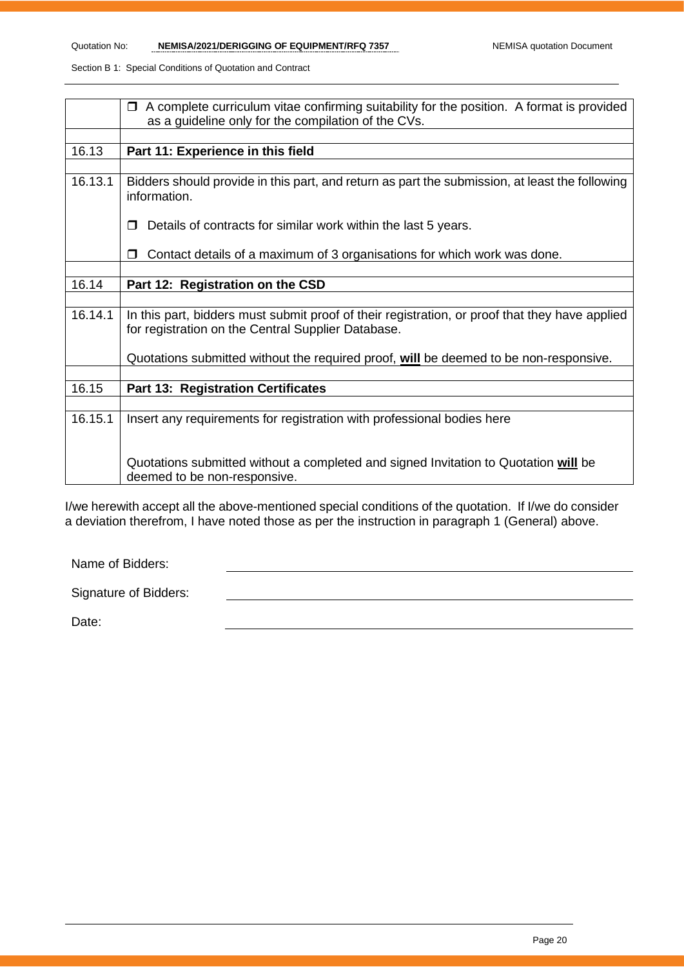|         | A complete curriculum vitae confirming suitability for the position. A format is provided<br>$\Box$                                                  |
|---------|------------------------------------------------------------------------------------------------------------------------------------------------------|
|         | as a guideline only for the compilation of the CVs.                                                                                                  |
|         |                                                                                                                                                      |
| 16.13   | Part 11: Experience in this field                                                                                                                    |
|         |                                                                                                                                                      |
| 16.13.1 | Bidders should provide in this part, and return as part the submission, at least the following<br>information.                                       |
|         | Details of contracts for similar work within the last 5 years.                                                                                       |
|         | Contact details of a maximum of 3 organisations for which work was done.<br>$\Box$                                                                   |
|         |                                                                                                                                                      |
| 16.14   | Part 12: Registration on the CSD                                                                                                                     |
|         |                                                                                                                                                      |
| 16.14.1 | In this part, bidders must submit proof of their registration, or proof that they have applied<br>for registration on the Central Supplier Database. |
|         | Quotations submitted without the required proof, will be deemed to be non-responsive.                                                                |
|         |                                                                                                                                                      |
| 16.15   | <b>Part 13: Registration Certificates</b>                                                                                                            |
|         |                                                                                                                                                      |
| 16.15.1 | Insert any requirements for registration with professional bodies here                                                                               |
|         | Quotations submitted without a completed and signed Invitation to Quotation will be<br>deemed to be non-responsive.                                  |

I/we herewith accept all the above-mentioned special conditions of the quotation. If I/we do consider a deviation therefrom, I have noted those as per the instruction in paragraph 1 (General) above.

Name of Bidders:

Date: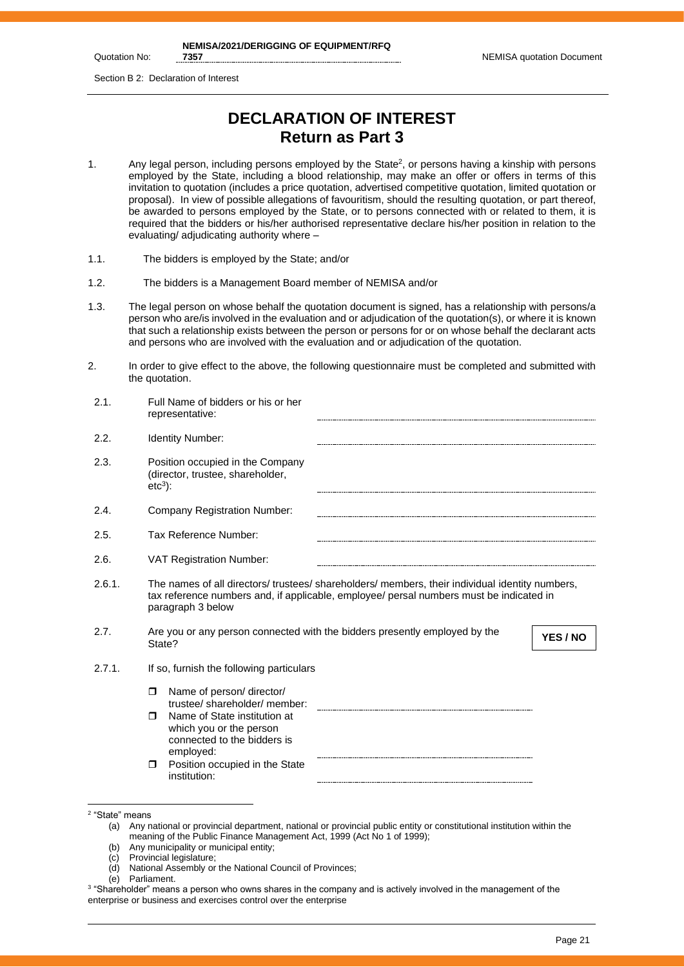Quotation No:

**NEMISA/2021/DERIGGING OF EQUIPMENT/RFQ** 

Section B 2: Declaration of Interest

# **DECLARATION OF INTEREST Return as Part 3**

- 1. Any legal person, including persons employed by the State<sup>2</sup>, or persons having a kinship with persons employed by the State, including a blood relationship, may make an offer or offers in terms of this invitation to quotation (includes a price quotation, advertised competitive quotation, limited quotation or proposal). In view of possible allegations of favouritism, should the resulting quotation, or part thereof, be awarded to persons employed by the State, or to persons connected with or related to them, it is required that the bidders or his/her authorised representative declare his/her position in relation to the evaluating/ adjudicating authority where –
- 1.1. The bidders is employed by the State; and/or
- 1.2. The bidders is a Management Board member of NEMISA and/or
- 1.3. The legal person on whose behalf the quotation document is signed, has a relationship with persons/a person who are/is involved in the evaluation and or adjudication of the quotation(s), or where it is known that such a relationship exists between the person or persons for or on whose behalf the declarant acts and persons who are involved with the evaluation and or adjudication of the quotation.
- 2. In order to give effect to the above, the following questionnaire must be completed and submitted with the quotation.

| 2.1.   | Full Name of bidders or his or her<br>representative:                                                                                                                                                           |  |  |  |
|--------|-----------------------------------------------------------------------------------------------------------------------------------------------------------------------------------------------------------------|--|--|--|
| 2.2.   | <b>Identity Number:</b>                                                                                                                                                                                         |  |  |  |
| 2.3.   | Position occupied in the Company<br>(director, trustee, shareholder,<br>$etc3$ :                                                                                                                                |  |  |  |
| 2.4.   | <b>Company Registration Number:</b>                                                                                                                                                                             |  |  |  |
| 2.5.   | Tax Reference Number:                                                                                                                                                                                           |  |  |  |
| 2.6.   | <b>VAT Registration Number:</b>                                                                                                                                                                                 |  |  |  |
| 2.6.1. | The names of all directors/ trustees/ shareholders/ members, their individual identity numbers,<br>tax reference numbers and, if applicable, employee/ persal numbers must be indicated in<br>paragraph 3 below |  |  |  |
| 2.7.   | Are you or any person connected with the bidders presently employed by the<br>YES / NO<br>State?                                                                                                                |  |  |  |
| 2.7.1. | If so, furnish the following particulars                                                                                                                                                                        |  |  |  |
|        | Name of person/ director/<br>$\Box$<br>trustee/shareholder/member:                                                                                                                                              |  |  |  |
|        | Name of State institution at<br>$\Box$<br>which you or the person<br>connected to the bidders is<br>employed:                                                                                                   |  |  |  |
|        | Position occupied in the State<br>$\Box$<br>institution:                                                                                                                                                        |  |  |  |

- (c) Provincial legislature;
- (d) National Assembly or the National Council of Provinces;

<sup>2</sup> "State" means

<sup>(</sup>a) Any national or provincial department, national or provincial public entity or constitutional institution within the meaning of the Public Finance Management Act, 1999 (Act No 1 of 1999);

<sup>(</sup>b) Any municipality or municipal entity;

<sup>(</sup>e) Parliament.

 $^3$  "Shareholder" means a person who owns shares in the company and is actively involved in the management of the enterprise or business and exercises control over the enterprise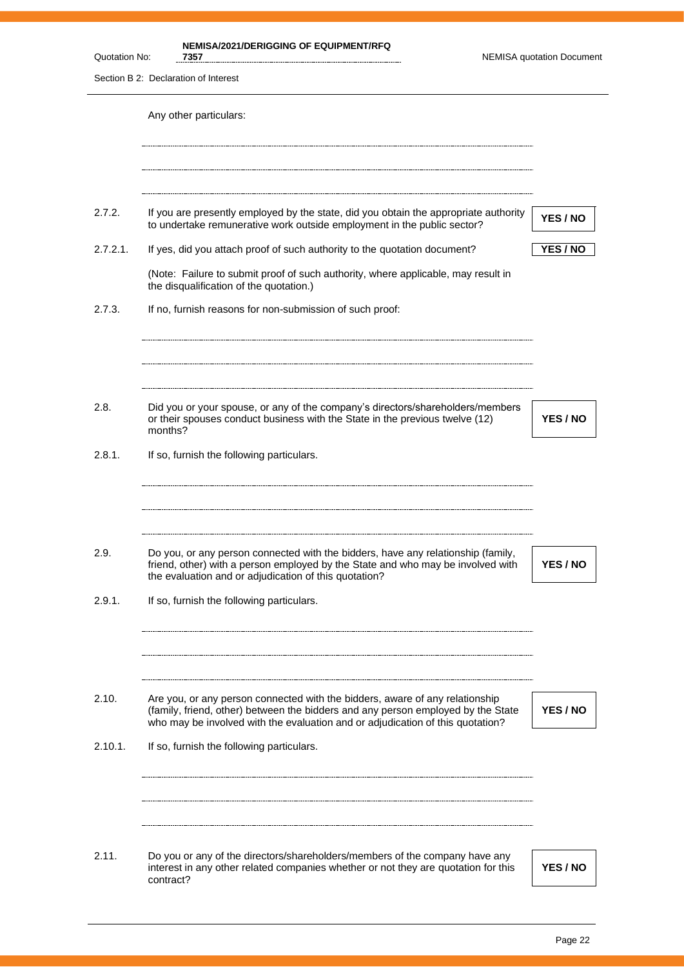| Quotation No: | <b>NEMISA/2021/DERIGGING OF EQUIPMENT/RFQ</b><br>7357                                                                                                                                                                        | <b>NEMISA quotation Document</b> |
|---------------|------------------------------------------------------------------------------------------------------------------------------------------------------------------------------------------------------------------------------|----------------------------------|
|               | Section B 2: Declaration of Interest                                                                                                                                                                                         |                                  |
|               | Any other particulars:                                                                                                                                                                                                       |                                  |
| 2.7.2.        | If you are presently employed by the state, did you obtain the appropriate authority<br>to undertake remunerative work outside employment in the public sector?                                                              | YES / NO                         |
| 2.7.2.1.      | If yes, did you attach proof of such authority to the quotation document?                                                                                                                                                    | <b>YES / NO</b>                  |
|               | (Note: Failure to submit proof of such authority, where applicable, may result in<br>the disqualification of the quotation.)                                                                                                 |                                  |
| 2.7.3.        | If no, furnish reasons for non-submission of such proof:                                                                                                                                                                     |                                  |
| 2.8.          | Did you or your spouse, or any of the company's directors/shareholders/members<br>or their spouses conduct business with the State in the previous twelve (12)<br>months?                                                    | <b>YES / NO</b>                  |
| 2.8.1.        | If so, furnish the following particulars.                                                                                                                                                                                    |                                  |
| 2.9.          | Do you, or any person connected with the bidders, have any relationship (family,<br>friend, other) with a person employed by the State and who may be involved with<br>the evaluation and or adjudication of this quotation? | YES / NO                         |
| 2.9.1.        | If so, furnish the following particulars.                                                                                                                                                                                    |                                  |
| 2.10.         | Are you, or any person connected with the bidders, aware of any relationship<br>(family, friend, other) between the bidders and any person employed by the State                                                             | YES / NO                         |
|               | who may be involved with the evaluation and or adjudication of this quotation?                                                                                                                                               |                                  |
| 2.10.1.       | If so, furnish the following particulars.                                                                                                                                                                                    |                                  |
| 2.11.         | Do you or any of the directors/shareholders/members of the company have any                                                                                                                                                  |                                  |
|               | interest in any other related companies whether or not they are quotation for this<br>contract?                                                                                                                              | YES / NO                         |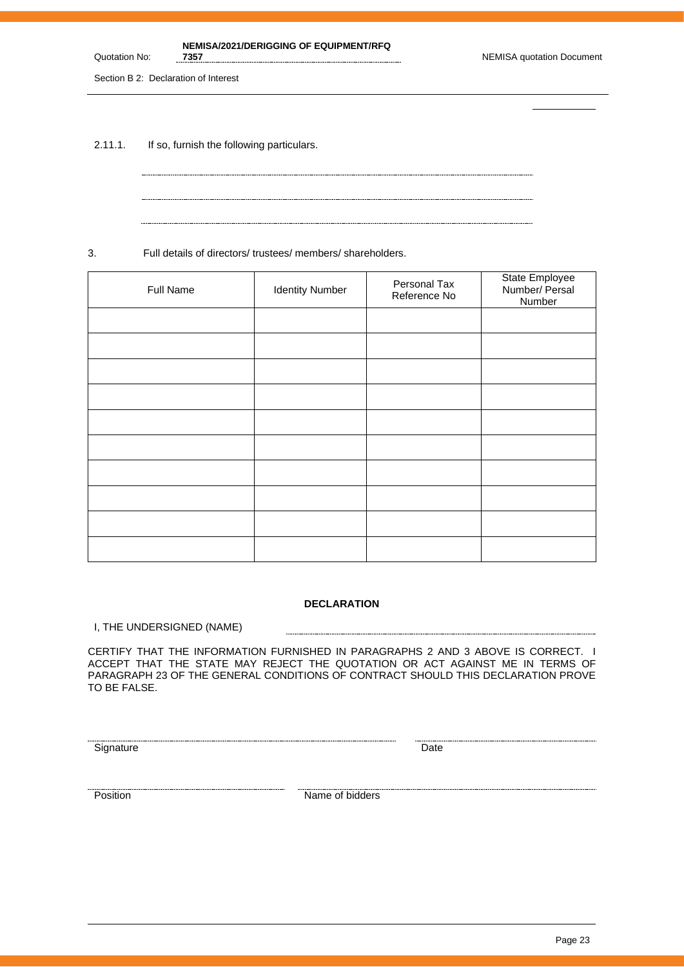**7357** NEMISA quotation Document

Section B 2: Declaration of Interest

Quotation No:

2.11.1. If so, furnish the following particulars.

3. Full details of directors/ trustees/ members/ shareholders.

| Full Name | <b>Identity Number</b> | Personal Tax<br>Reference No | State Employee<br>Number/ Persal<br>Number |
|-----------|------------------------|------------------------------|--------------------------------------------|
|           |                        |                              |                                            |
|           |                        |                              |                                            |
|           |                        |                              |                                            |
|           |                        |                              |                                            |
|           |                        |                              |                                            |
|           |                        |                              |                                            |
|           |                        |                              |                                            |
|           |                        |                              |                                            |
|           |                        |                              |                                            |
|           |                        |                              |                                            |

### **DECLARATION**

-----------------------

I, THE UNDERSIGNED (NAME)

CERTIFY THAT THE INFORMATION FURNISHED IN PARAGRAPHS 2 AND 3 ABOVE IS CORRECT. I ACCEPT THAT THE STATE MAY REJECT THE QUOTATION OR ACT AGAINST ME IN TERMS OF PARAGRAPH 23 OF THE GENERAL CONDITIONS OF CONTRACT SHOULD THIS DECLARATION PROVE TO BE FALSE.

Signature Date Date

Position **Name of bidders**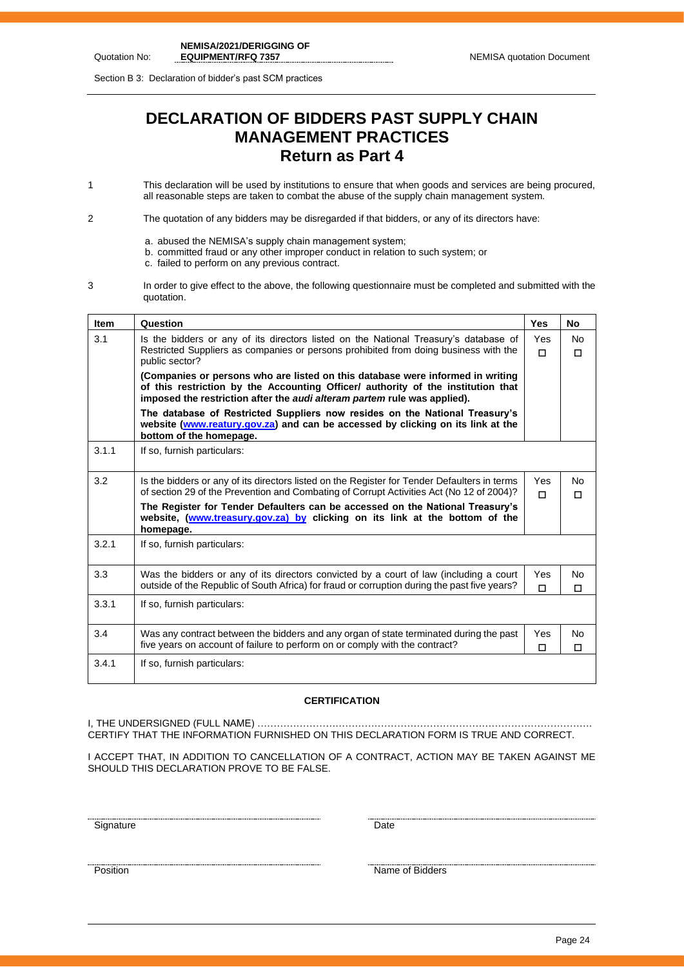Section B 3: Declaration of bidder's past SCM practices

# **DECLARATION OF BIDDERS PAST SUPPLY CHAIN MANAGEMENT PRACTICES Return as Part 4**

- 1 This declaration will be used by institutions to ensure that when goods and services are being procured, all reasonable steps are taken to combat the abuse of the supply chain management system.
- 2 The quotation of any bidders may be disregarded if that bidders, or any of its directors have:
	- a. abused the NEMISA's supply chain management system;
	- b. committed fraud or any other improper conduct in relation to such system; or
	- c. failed to perform on any previous contract.
- 3 In order to give effect to the above, the following questionnaire must be completed and submitted with the quotation.

| <b>Item</b> | Question                                                                                                                                                                                                                                       | <b>Yes</b>    | No                  |
|-------------|------------------------------------------------------------------------------------------------------------------------------------------------------------------------------------------------------------------------------------------------|---------------|---------------------|
| 3.1         | Is the bidders or any of its directors listed on the National Treasury's database of<br>Restricted Suppliers as companies or persons prohibited from doing business with the<br>public sector?                                                 | Yes<br>$\Box$ | <b>No</b><br>п      |
|             | (Companies or persons who are listed on this database were informed in writing<br>of this restriction by the Accounting Officer/ authority of the institution that<br>imposed the restriction after the audi alteram partem rule was applied). |               |                     |
|             | The database of Restricted Suppliers now resides on the National Treasury's<br>website (www.reatury.gov.za) and can be accessed by clicking on its link at the<br>bottom of the homepage.                                                      |               |                     |
| 3.1.1       | If so, furnish particulars:                                                                                                                                                                                                                    |               |                     |
| 3.2         | Is the bidders or any of its directors listed on the Register for Tender Defaulters in terms<br>of section 29 of the Prevention and Combating of Corrupt Activities Act (No 12 of 2004)?                                                       | Yes.<br>п     | <b>No</b><br>$\Box$ |
|             | The Register for Tender Defaulters can be accessed on the National Treasury's<br>website, (www.treasury.gov.za) by clicking on its link at the bottom of the<br>homepage.                                                                      |               |                     |
| 3.2.1       | If so, furnish particulars:                                                                                                                                                                                                                    |               |                     |
| 3.3         | Was the bidders or any of its directors convicted by a court of law (including a court<br>outside of the Republic of South Africa) for fraud or corruption during the past five years?                                                         | Yes<br>$\Box$ | <b>No</b><br>П      |
| 3.3.1       | If so, furnish particulars:                                                                                                                                                                                                                    |               |                     |
| 3.4         | Was any contract between the bidders and any organ of state terminated during the past<br>five years on account of failure to perform on or comply with the contract?                                                                          | Yes<br>□      | No.<br>П            |
| 3.4.1       | If so, furnish particulars:                                                                                                                                                                                                                    |               |                     |

### **CERTIFICATION**

I, THE UNDERSIGNED (FULL NAME) …………………………………………………………………………………………. CERTIFY THAT THE INFORMATION FURNISHED ON THIS DECLARATION FORM IS TRUE AND CORRECT.

I ACCEPT THAT, IN ADDITION TO CANCELLATION OF A CONTRACT, ACTION MAY BE TAKEN AGAINST ME SHOULD THIS DECLARATION PROVE TO BE FALSE.

<u>Signature Date</u>

<u>The contract of Bidders</u><br>Position Name of Bidders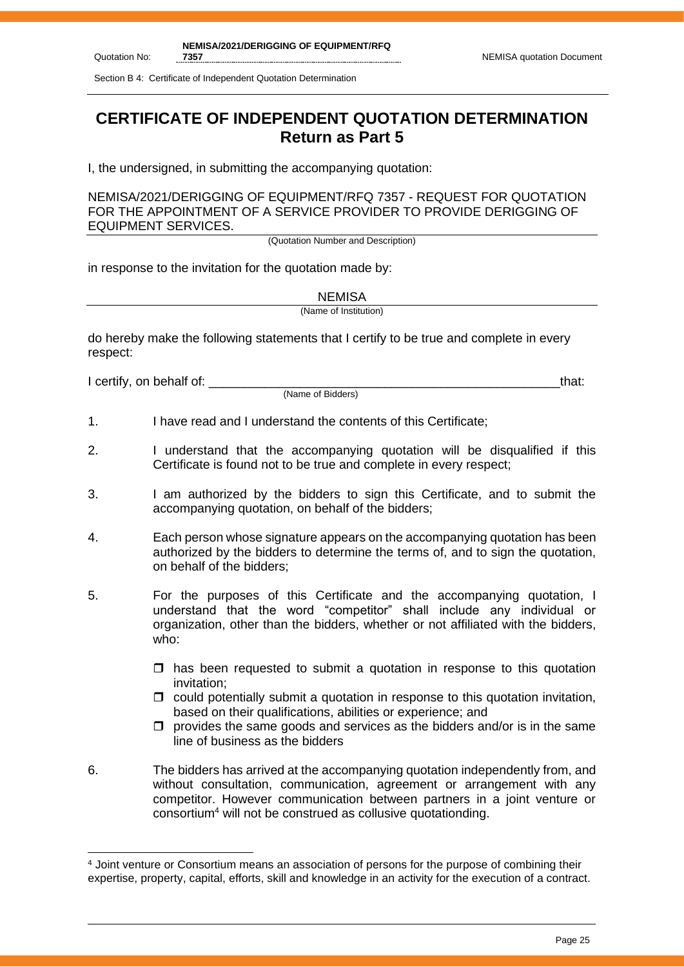Section B 4: Certificate of Independent Quotation Determination

# **CERTIFICATE OF INDEPENDENT QUOTATION DETERMINATION Return as Part 5**

I, the undersigned, in submitting the accompanying quotation:

NEMISA/2021/DERIGGING OF EQUIPMENT/RFQ 7357 - REQUEST FOR QUOTATION FOR THE APPOINTMENT OF A SERVICE PROVIDER TO PROVIDE DERIGGING OF EQUIPMENT SERVICES.

(Quotation Number and Description)

in response to the invitation for the quotation made by:

**NEMISA** 

(Name of Institution)

do hereby make the following statements that I certify to be true and complete in every respect:

I certify, on behalf of: that:  $\blacksquare$ 

Quotation No:

(Name of Bidders)

- 1. I have read and I understand the contents of this Certificate;
- 2. I understand that the accompanying quotation will be disqualified if this Certificate is found not to be true and complete in every respect;
- 3. I am authorized by the bidders to sign this Certificate, and to submit the accompanying quotation, on behalf of the bidders;
- 4. Each person whose signature appears on the accompanying quotation has been authorized by the bidders to determine the terms of, and to sign the quotation, on behalf of the bidders;
- 5. For the purposes of this Certificate and the accompanying quotation, I understand that the word "competitor" shall include any individual or organization, other than the bidders, whether or not affiliated with the bidders, who:
	- $\Box$  has been requested to submit a quotation in response to this quotation invitation;
	- $\Box$  could potentially submit a quotation in response to this quotation invitation, based on their qualifications, abilities or experience; and
	- $\Box$  provides the same goods and services as the bidders and/or is in the same line of business as the bidders
- 6. The bidders has arrived at the accompanying quotation independently from, and without consultation, communication, agreement or arrangement with any competitor. However communication between partners in a joint venture or consortium<sup>4</sup> will not be construed as collusive quotationding.

<sup>4</sup> Joint venture or Consortium means an association of persons for the purpose of combining their expertise, property, capital, efforts, skill and knowledge in an activity for the execution of a contract.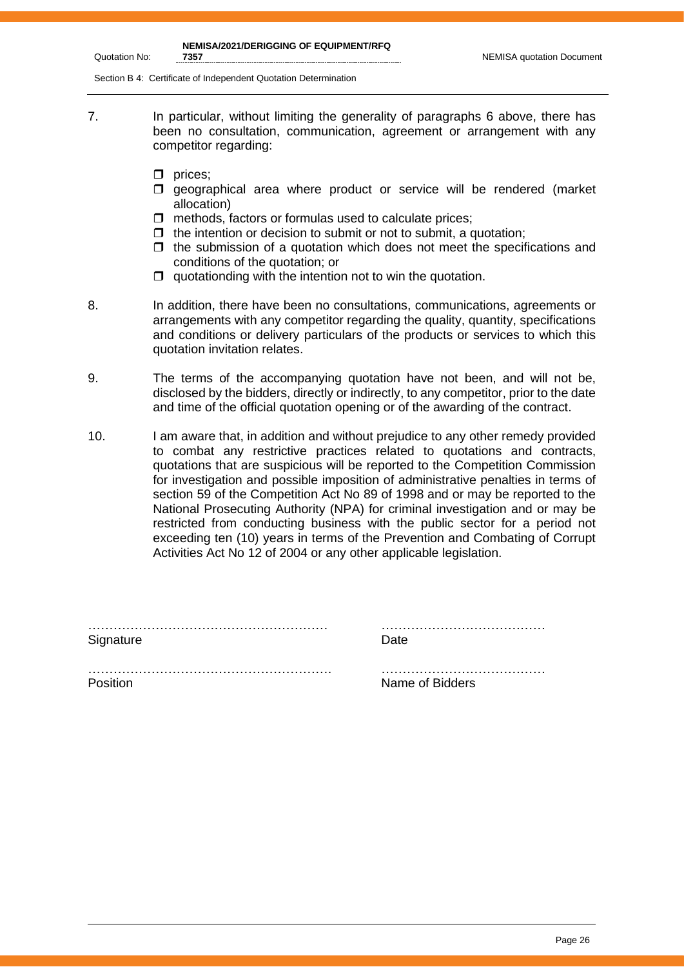**NEMISA/2021/DERIGGING OF EQUIPMENT/RFQ** 

Section B 4: Certificate of Independent Quotation Determination

- 7. In particular, without limiting the generality of paragraphs 6 above, there has been no consultation, communication, agreement or arrangement with any competitor regarding:
	- $\Box$  prices;

Quotation No:

- $\square$  geographical area where product or service will be rendered (market allocation)
- $\Box$  methods, factors or formulas used to calculate prices;
- $\Box$  the intention or decision to submit or not to submit, a quotation;
- $\Box$  the submission of a quotation which does not meet the specifications and conditions of the quotation; or
- $\Box$  quotationding with the intention not to win the quotation.
- 8. In addition, there have been no consultations, communications, agreements or arrangements with any competitor regarding the quality, quantity, specifications and conditions or delivery particulars of the products or services to which this quotation invitation relates.
- 9. The terms of the accompanying quotation have not been, and will not be, disclosed by the bidders, directly or indirectly, to any competitor, prior to the date and time of the official quotation opening or of the awarding of the contract.
- 10. I am aware that, in addition and without prejudice to any other remedy provided to combat any restrictive practices related to quotations and contracts, quotations that are suspicious will be reported to the Competition Commission for investigation and possible imposition of administrative penalties in terms of section 59 of the Competition Act No 89 of 1998 and or may be reported to the National Prosecuting Authority (NPA) for criminal investigation and or may be restricted from conducting business with the public sector for a period not exceeding ten (10) years in terms of the Prevention and Combating of Corrupt Activities Act No 12 of 2004 or any other applicable legislation.

| Signature | Date            |
|-----------|-----------------|
|           |                 |
| Position  | Name of Bidders |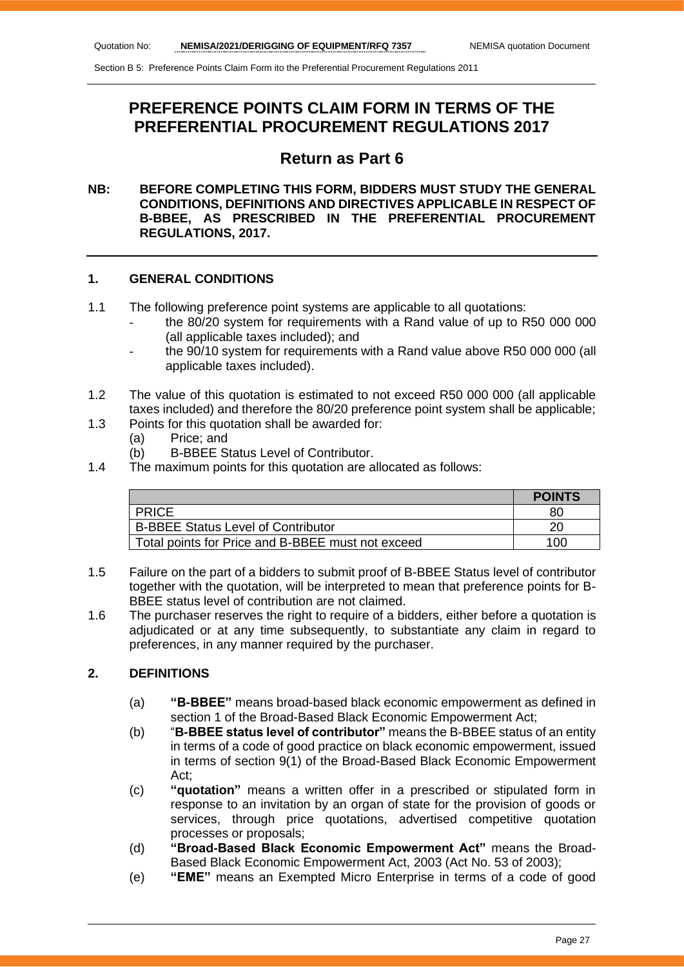# **PREFERENCE POINTS CLAIM FORM IN TERMS OF THE PREFERENTIAL PROCUREMENT REGULATIONS 2017**

# **Return as Part 6**

# **NB: BEFORE COMPLETING THIS FORM, BIDDERS MUST STUDY THE GENERAL CONDITIONS, DEFINITIONS AND DIRECTIVES APPLICABLE IN RESPECT OF B-BBEE, AS PRESCRIBED IN THE PREFERENTIAL PROCUREMENT REGULATIONS, 2017.**

### **1. GENERAL CONDITIONS**

- 1.1 The following preference point systems are applicable to all quotations:
	- the 80/20 system for requirements with a Rand value of up to R50 000 000 (all applicable taxes included); and
	- the 90/10 system for requirements with a Rand value above R50 000 000 (all applicable taxes included).
- 1.2 The value of this quotation is estimated to not exceed R50 000 000 (all applicable taxes included) and therefore the 80/20 preference point system shall be applicable;
- 1.3 Points for this quotation shall be awarded for:
	- (a) Price; and
	- (b) B-BBEE Status Level of Contributor.
- 1.4 The maximum points for this quotation are allocated as follows:

|                                                   | <b>POINTS</b> |
|---------------------------------------------------|---------------|
| <b>PRICE</b>                                      | 80            |
| <b>B-BBEE Status Level of Contributor</b>         |               |
| Total points for Price and B-BBEE must not exceed | 100           |

- 1.5 Failure on the part of a bidders to submit proof of B-BBEE Status level of contributor together with the quotation, will be interpreted to mean that preference points for B-BBEE status level of contribution are not claimed.
- 1.6 The purchaser reserves the right to require of a bidders, either before a quotation is adjudicated or at any time subsequently, to substantiate any claim in regard to preferences, in any manner required by the purchaser.

# **2. DEFINITIONS**

- (a) **"B-BBEE"** means broad-based black economic empowerment as defined in section 1 of the Broad-Based Black Economic Empowerment Act;
- (b) "**B-BBEE status level of contributor"** means the B-BBEE status of an entity in terms of a code of good practice on black economic empowerment, issued in terms of section 9(1) of the Broad-Based Black Economic Empowerment Act;
- (c) **"quotation"** means a written offer in a prescribed or stipulated form in response to an invitation by an organ of state for the provision of goods or services, through price quotations, advertised competitive quotation processes or proposals;
- (d) **"Broad-Based Black Economic Empowerment Act"** means the Broad-Based Black Economic Empowerment Act, 2003 (Act No. 53 of 2003);
- (e) **"EME"** means an Exempted Micro Enterprise in terms of a code of good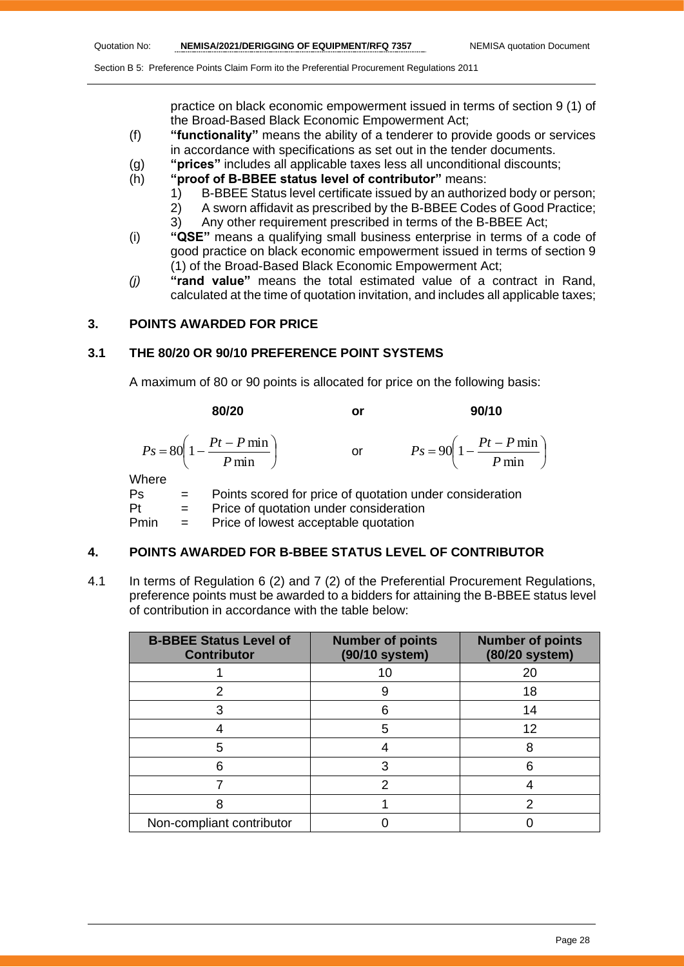practice on black economic empowerment issued in terms of section 9 (1) of the Broad-Based Black Economic Empowerment Act;

- (f) **"functionality"** means the ability of a tenderer to provide goods or services in accordance with specifications as set out in the tender documents.
- (g) **"prices"** includes all applicable taxes less all unconditional discounts;
- (h) **"proof of B-BBEE status level of contributor"** means:
	- 1) B-BBEE Status level certificate issued by an authorized body or person;
		- 2) A sworn affidavit as prescribed by the B-BBEE Codes of Good Practice;
	- 3) Any other requirement prescribed in terms of the B-BBEE Act;
- (i) **"QSE"** means a qualifying small business enterprise in terms of a code of good practice on black economic empowerment issued in terms of section 9 (1) of the Broad-Based Black Economic Empowerment Act;
- *(j)* **"rand value"** means the total estimated value of a contract in Rand, calculated at the time of quotation invitation, and includes all applicable taxes;

# **3. POINTS AWARDED FOR PRICE**

### **3.1 THE 80/20 OR 90/10 PREFERENCE POINT SYSTEMS**

A maximum of 80 or 90 points is allocated for price on the following basis:

|             | 80/20                                                     | or | 90/10                                                    |
|-------------|-----------------------------------------------------------|----|----------------------------------------------------------|
|             | $P s = 80 \left( 1 - \frac{Pt - P \min P}{ \min} \right)$ | or | $Ps = 90\left(1 - \frac{Pt - P \min P}{ \min}\right)$    |
| Where<br>Ps |                                                           |    | Points scored for price of quotation under consideration |

Pt = Price of quotation under consideration Pmin = Price of lowest acceptable quotation

# **4. POINTS AWARDED FOR B-BBEE STATUS LEVEL OF CONTRIBUTOR**

4.1 In terms of Regulation 6 (2) and 7 (2) of the Preferential Procurement Regulations, preference points must be awarded to a bidders for attaining the B-BBEE status level of contribution in accordance with the table below:

| <b>B-BBEE Status Level of</b><br><b>Contributor</b> | <b>Number of points</b><br>(90/10 system) | <b>Number of points</b><br>(80/20 system) |
|-----------------------------------------------------|-------------------------------------------|-------------------------------------------|
|                                                     | 10                                        | 20                                        |
|                                                     |                                           | 18                                        |
|                                                     | 6                                         | 14                                        |
|                                                     | 5                                         | 12                                        |
| 5                                                   |                                           | 8                                         |
|                                                     | 3                                         |                                           |
|                                                     | 2                                         |                                           |
|                                                     |                                           |                                           |
| Non-compliant contributor                           |                                           |                                           |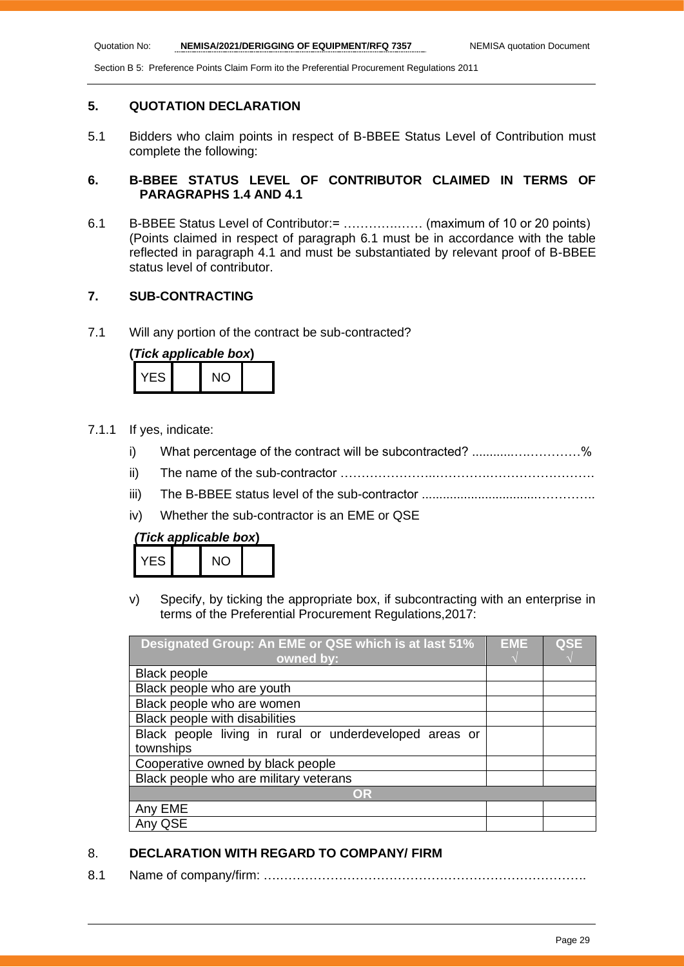# **5. QUOTATION DECLARATION**

5.1 Bidders who claim points in respect of B-BBEE Status Level of Contribution must complete the following:

# **6. B-BBEE STATUS LEVEL OF CONTRIBUTOR CLAIMED IN TERMS OF PARAGRAPHS 1.4 AND 4.1**

6.1 B-BBEE Status Level of Contributor:= ………….…… (maximum of 10 or 20 points) (Points claimed in respect of paragraph 6.1 must be in accordance with the table reflected in paragraph 4.1 and must be substantiated by relevant proof of B-BBEE status level of contributor.

# **7. SUB-CONTRACTING**

7.1 Will any portion of the contract be sub-contracted?

| (Tick applicable box) |  |     |  |
|-----------------------|--|-----|--|
| YES.                  |  | NO. |  |

- 7.1.1 If yes, indicate:
	- i) What percentage of the contract will be subcontracted? ..........................%
	- ii) The name of the sub-contractor …………………..………….…………………….
	- iii) The B-BBEE status level of the sub-contractor .................................…………..
	- iv) Whether the sub-contractor is an EME or QSE

| (Tick applicable box) |  |  |
|-----------------------|--|--|
|-----------------------|--|--|

| VES | חוח<br>$\check{ }$ |  |
|-----|--------------------|--|
|     |                    |  |

v) Specify, by ticking the appropriate box, if subcontracting with an enterprise in terms of the Preferential Procurement Regulations,2017:

| Designated Group: An EME or QSE which is at last 51%    |  | <b>QSE</b> |
|---------------------------------------------------------|--|------------|
| owned by:                                               |  |            |
| <b>Black people</b>                                     |  |            |
| Black people who are youth                              |  |            |
| Black people who are women                              |  |            |
| Black people with disabilities                          |  |            |
| Black people living in rural or underdeveloped areas or |  |            |
| townships                                               |  |            |
| Cooperative owned by black people                       |  |            |
| Black people who are military veterans                  |  |            |
| OR                                                      |  |            |
| Any EME                                                 |  |            |
| QSE                                                     |  |            |

# 8. **DECLARATION WITH REGARD TO COMPANY/ FIRM**

8.1 Name of company/firm: ….……………………………………………………………….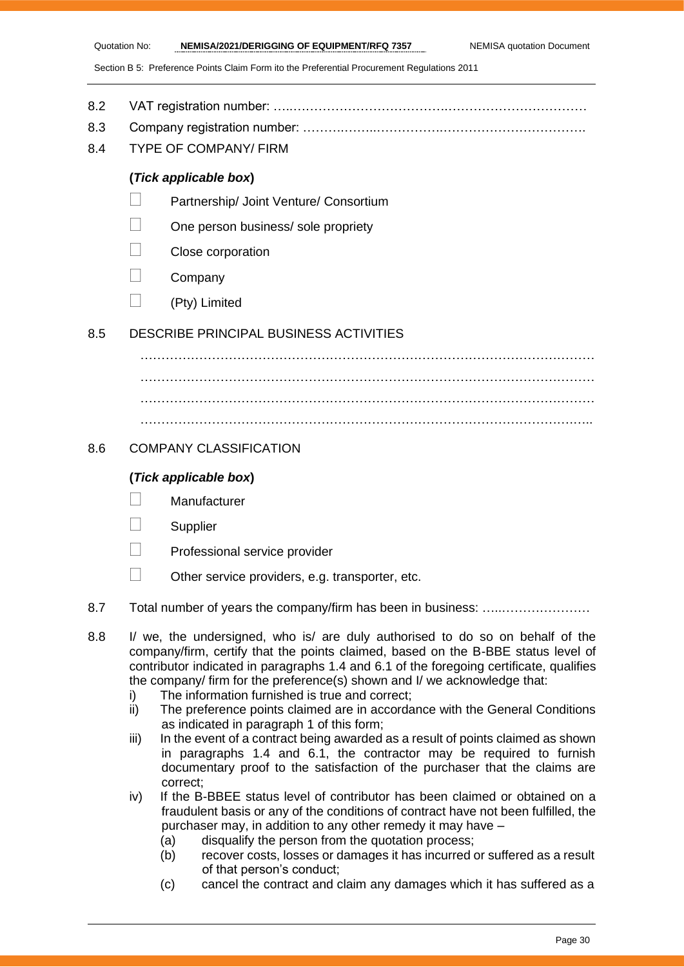- 8.2 VAT registration number: …..……………………………….……………………………
- 8.3 Company registration number: ……….……..…………….…………………………….
- 8.4 TYPE OF COMPANY/ FIRM

# **(***Tick applicable box***)**

- Partnership/ Joint Venture/ Consortium
- One person business/ sole propriety
- Close corporation
- **Company**
- $\Box$  (Pty) Limited

# 8.5 DESCRIBE PRINCIPAL BUSINESS ACTIVITIES

………………………………………………………………………………………………  $\mathcal{L}^{(n)}$ ……………………………………………………………………………………………… ………………………………………………………………………………………….…..

# 8.6 COMPANY CLASSIFICATION

# **(***Tick applicable box***)**

- **Manufacturer**
- **Supplier**
- Professional service provider
- $\Box$  Other service providers, e.g. transporter, etc.
- 8.7 Total number of years the company/firm has been in business: ………………………
- 8.8 I/ we, the undersigned, who is/ are duly authorised to do so on behalf of the company/firm, certify that the points claimed, based on the B-BBE status level of contributor indicated in paragraphs 1.4 and 6.1 of the foregoing certificate, qualifies the company/ firm for the preference(s) shown and I/ we acknowledge that:
	- i) The information furnished is true and correct;
	- ii) The preference points claimed are in accordance with the General Conditions as indicated in paragraph 1 of this form;
	- iii) In the event of a contract being awarded as a result of points claimed as shown in paragraphs 1.4 and 6.1, the contractor may be required to furnish documentary proof to the satisfaction of the purchaser that the claims are correct;
	- iv) If the B-BBEE status level of contributor has been claimed or obtained on a fraudulent basis or any of the conditions of contract have not been fulfilled, the purchaser may, in addition to any other remedy it may have –
		- (a) disqualify the person from the quotation process;
		- (b) recover costs, losses or damages it has incurred or suffered as a result of that person's conduct;
		- (c) cancel the contract and claim any damages which it has suffered as a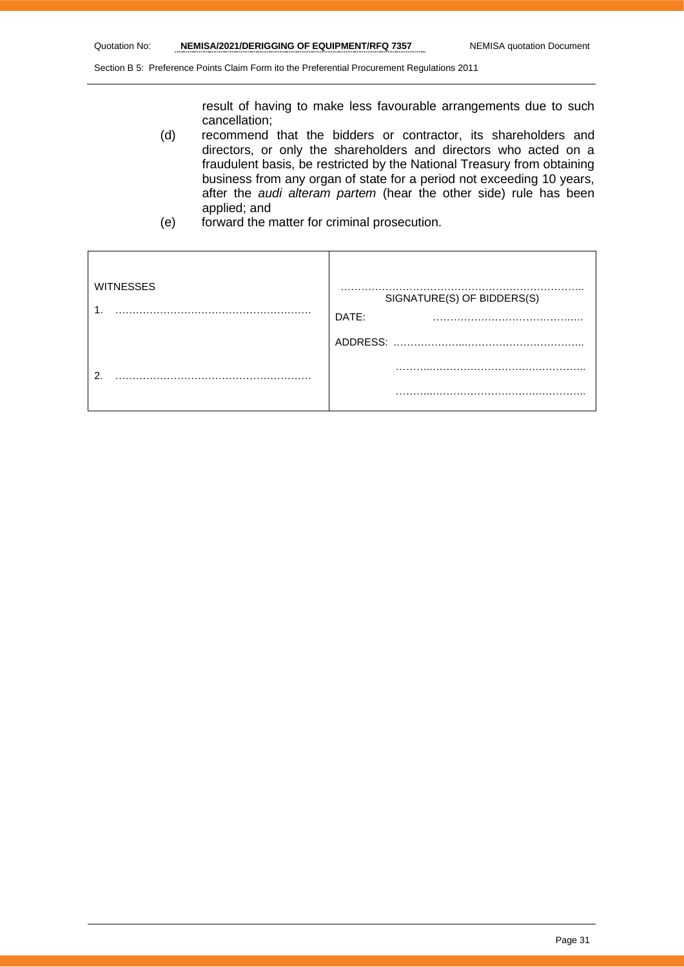result of having to make less favourable arrangements due to such cancellation;

- (d) recommend that the bidders or contractor, its shareholders and directors, or only the shareholders and directors who acted on a fraudulent basis, be restricted by the National Treasury from obtaining business from any organ of state for a period not exceeding 10 years, after the *audi alteram partem* (hear the other side) rule has been applied; and
- (e) forward the matter for criminal prosecution.

| <b>WITNESSES</b> | SIGNATURE(S) OF BIDDERS(S)<br>DATE:<br>$\cdots$ |
|------------------|-------------------------------------------------|
|                  | ADDRESS:                                        |
| റ                |                                                 |
|                  | .                                               |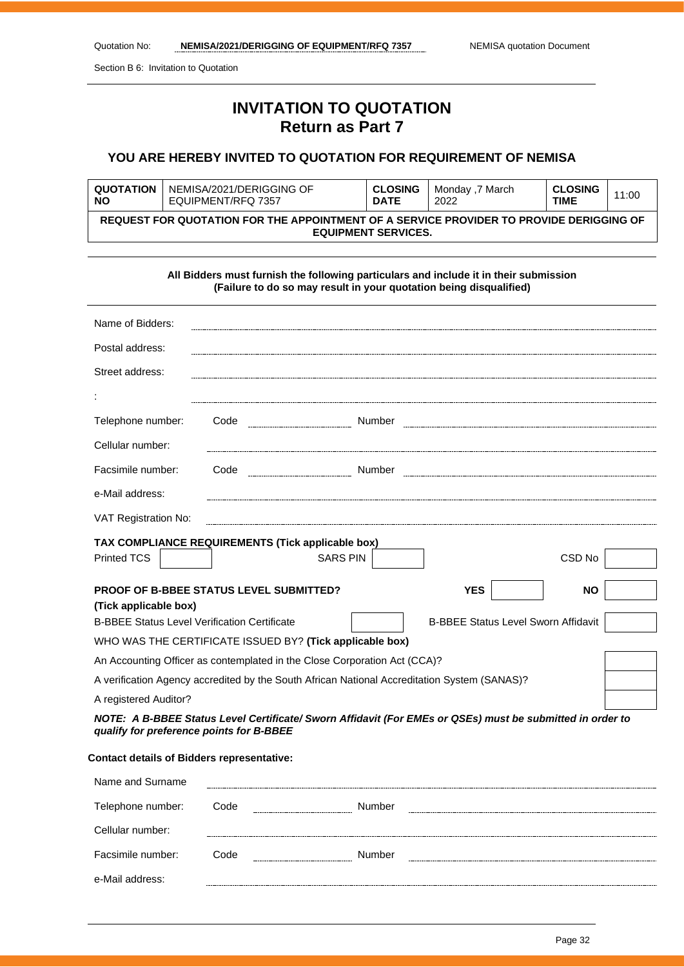Section B 6: Invitation to Quotation

# **INVITATION TO QUOTATION Return as Part 7**

# **YOU ARE HEREBY INVITED TO QUOTATION FOR REQUIREMENT OF NEMISA**

| <b>QUOTATION</b>                                                                                                      | NEMISA/2021/DERIGGING OF | <b>CLOSING</b> | Monday ,7 March | <b>CLOSING</b> | 11:00 |
|-----------------------------------------------------------------------------------------------------------------------|--------------------------|----------------|-----------------|----------------|-------|
| <b>NO</b>                                                                                                             | EQUIPMENT/RFQ 7357       | <b>DATE</b>    | 2022            | <b>TIME</b>    |       |
| REQUEST FOR QUOTATION FOR THE APPOINTMENT OF A SERVICE PROVIDER TO PROVIDE DERIGGING OF<br><b>EQUIPMENT SERVICES.</b> |                          |                |                 |                |       |

|                                                                                              |      | (Failure to do so may result in your quotation being disqualified) | All Bidders must furnish the following particulars and include it in their submission                     |           |
|----------------------------------------------------------------------------------------------|------|--------------------------------------------------------------------|-----------------------------------------------------------------------------------------------------------|-----------|
| Name of Bidders:                                                                             |      |                                                                    |                                                                                                           |           |
| Postal address:                                                                              |      |                                                                    |                                                                                                           |           |
| Street address:                                                                              |      |                                                                    |                                                                                                           |           |
|                                                                                              |      |                                                                    |                                                                                                           |           |
| Telephone number:                                                                            | Code | Number                                                             |                                                                                                           |           |
| Cellular number:                                                                             |      |                                                                    |                                                                                                           |           |
| Facsimile number:                                                                            | Code | Number                                                             |                                                                                                           |           |
| e-Mail address:                                                                              |      |                                                                    |                                                                                                           |           |
| VAT Registration No:                                                                         |      |                                                                    |                                                                                                           |           |
| TAX COMPLIANCE REQUIREMENTS (Tick applicable box)                                            |      |                                                                    |                                                                                                           |           |
| <b>Printed TCS</b>                                                                           |      | <b>SARS PIN</b>                                                    |                                                                                                           | CSD No    |
| <b>PROOF OF B-BBEE STATUS LEVEL SUBMITTED?</b>                                               |      |                                                                    | <b>YES</b>                                                                                                | <b>NO</b> |
| (Tick applicable box)                                                                        |      |                                                                    |                                                                                                           |           |
| <b>B-BBEE Status Level Verification Certificate</b>                                          |      |                                                                    | <b>B-BBEE Status Level Sworn Affidavit</b>                                                                |           |
| WHO WAS THE CERTIFICATE ISSUED BY? (Tick applicable box)                                     |      |                                                                    |                                                                                                           |           |
| An Accounting Officer as contemplated in the Close Corporation Act (CCA)?                    |      |                                                                    |                                                                                                           |           |
| A verification Agency accredited by the South African National Accreditation System (SANAS)? |      |                                                                    |                                                                                                           |           |
| A registered Auditor?                                                                        |      |                                                                    |                                                                                                           |           |
|                                                                                              |      |                                                                    | NOTE: A B-BBEE Status Level Certificate/ Sworn Affidavit (For EMEs or QSEs) must be submitted in order to |           |

*qualify for preference points for B-BBEE*

### **Contact details of Bidders representative:**

| Name and Surname  |              |                      |        |  |  |
|-------------------|--------------|----------------------|--------|--|--|
| Telephone number: | Code         | -------------------- | Number |  |  |
| Cellular number:  |              |                      |        |  |  |
| Facsimile number: | Code         | -------------------- | Number |  |  |
| e-Mail address:   | ------------ |                      |        |  |  |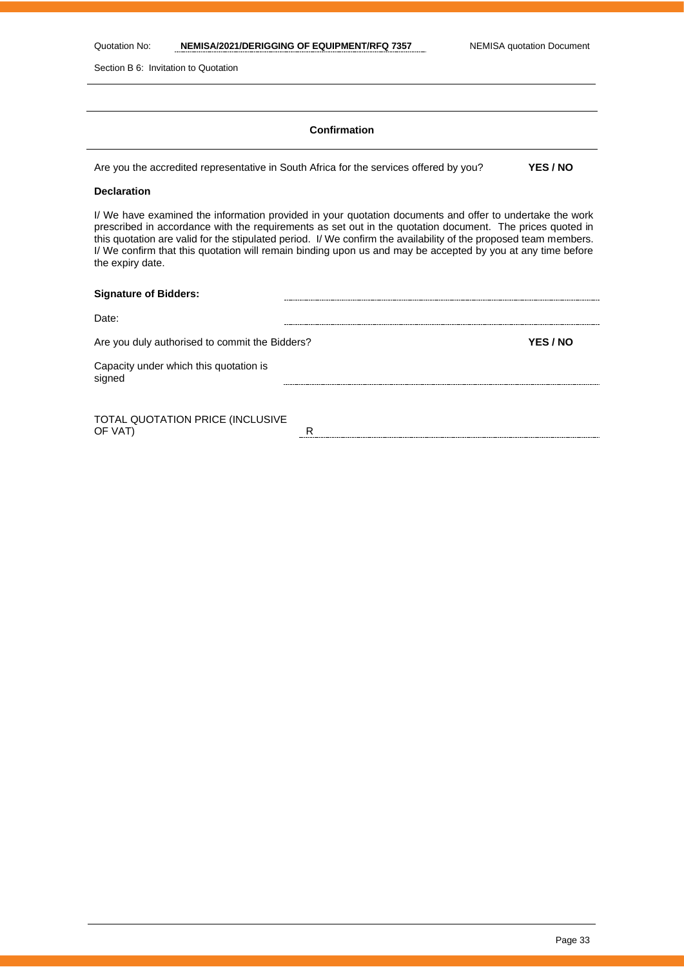| Quotation No: | NEMISA/2021/DERIGGING OF EQUIPMENT/RFQ 7357 |
|---------------|---------------------------------------------|
|---------------|---------------------------------------------|

Section B 6: Invitation to Quotation

### **Confirmation**

Are you the accredited representative in South Africa for the services offered by you? **YES / NO**

### **Declaration**

I/ We have examined the information provided in your quotation documents and offer to undertake the work prescribed in accordance with the requirements as set out in the quotation document. The prices quoted in this quotation are valid for the stipulated period. I/ We confirm the availability of the proposed team members. I/ We confirm that this quotation will remain binding upon us and may be accepted by you at any time before the expiry date.

| <b>Signature of Bidders:</b>                     |   |          |
|--------------------------------------------------|---|----------|
| Date:                                            |   |          |
| Are you duly authorised to commit the Bidders?   |   | YES / NO |
| Capacity under which this quotation is<br>signed |   |          |
|                                                  |   |          |
| TOTAL QUOTATION PRICE (INCLUSIVE<br>OF VAT)      | R |          |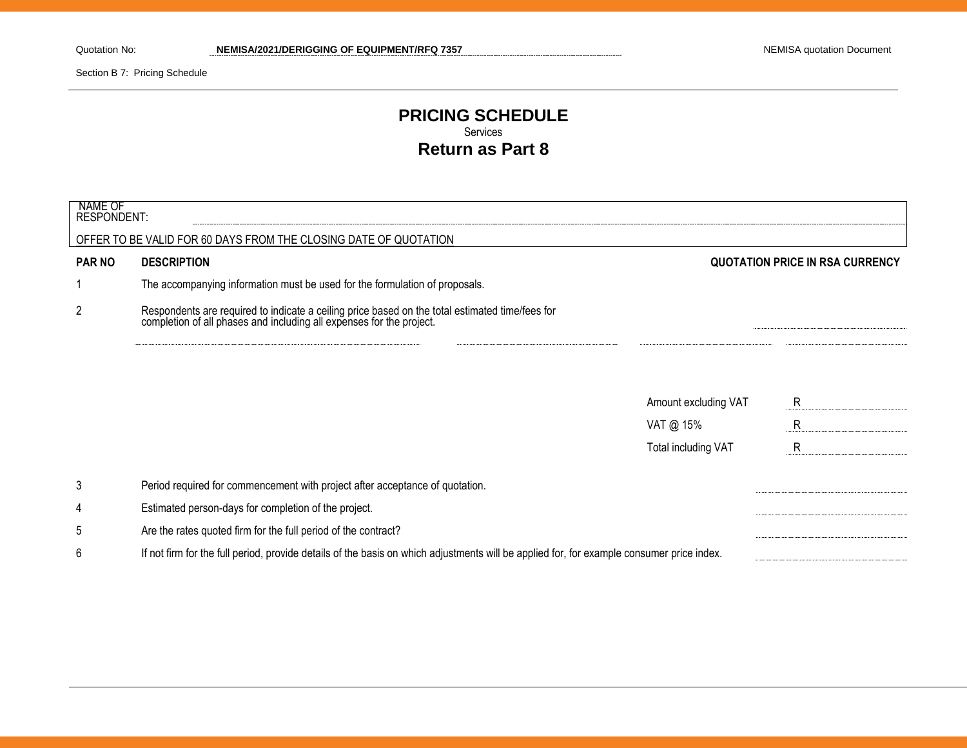Section B 7: Pricing Schedule

# **PRICING SCHEDULE** Services **Return as Part 8**

| NAME OF<br><b>RESPONDENT:</b> |                                                                                                                                                                      |                                        |   |
|-------------------------------|----------------------------------------------------------------------------------------------------------------------------------------------------------------------|----------------------------------------|---|
|                               | OFFER TO BE VALID FOR 60 DAYS FROM THE CLOSING DATE OF QUOTATION                                                                                                     |                                        |   |
| <b>PAR NO</b>                 | <b>DESCRIPTION</b>                                                                                                                                                   | <b>QUOTATION PRICE IN RSA CURRENCY</b> |   |
|                               | The accompanying information must be used for the formulation of proposals.                                                                                          |                                        |   |
| $\overline{2}$                | Respondents are required to indicate a ceiling price based on the total estimated time/fees for completion of all phases and including all expenses for the project. |                                        |   |
|                               |                                                                                                                                                                      |                                        |   |
|                               |                                                                                                                                                                      | Amount excluding VAT                   | R |
|                               |                                                                                                                                                                      | VAT @ 15%                              | R |
|                               |                                                                                                                                                                      | Total including VAT                    | R |
| 3                             | Period required for commencement with project after acceptance of quotation.                                                                                         |                                        |   |
| 4                             | Estimated person-days for completion of the project.                                                                                                                 |                                        |   |
| 5                             | Are the rates quoted firm for the full period of the contract?                                                                                                       |                                        |   |
| 6                             | If not firm for the full period, provide details of the basis on which adjustments will be applied for, for example consumer price index.                            |                                        |   |